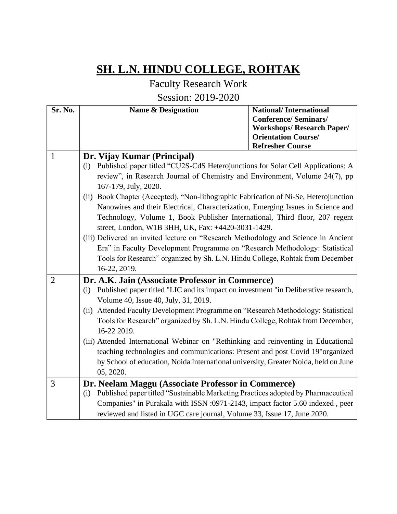## **SH. L.N. HINDU COLLEGE, ROHTAK**

Faculty Research Work

Session: 2019-2020

| Sr. No.        | <b>Name &amp; Designation</b>                                                                                                                                                                                                                                                                                                                                                                                                                                                                                                                                                                                                                                                                                                                                                                       | <b>National/International</b><br><b>Conference/Seminars/</b><br><b>Workshops/ Research Paper/</b> |
|----------------|-----------------------------------------------------------------------------------------------------------------------------------------------------------------------------------------------------------------------------------------------------------------------------------------------------------------------------------------------------------------------------------------------------------------------------------------------------------------------------------------------------------------------------------------------------------------------------------------------------------------------------------------------------------------------------------------------------------------------------------------------------------------------------------------------------|---------------------------------------------------------------------------------------------------|
|                |                                                                                                                                                                                                                                                                                                                                                                                                                                                                                                                                                                                                                                                                                                                                                                                                     | <b>Orientation Course/</b><br><b>Refresher Course</b>                                             |
| $\mathbf{1}$   | Dr. Vijay Kumar (Principal)<br>Published paper titled "CU2S-CdS Heterojunctions for Solar Cell Applications: A<br>(i)<br>review", in Research Journal of Chemistry and Environment, Volume 24(7), pp<br>167-179, July, 2020.<br>(ii) Book Chapter (Accepted), "Non-lithographic Fabrication of Ni-Se, Heterojunction<br>Nanowires and their Electrical, Characterization, Emerging Issues in Science and<br>Technology, Volume 1, Book Publisher International, Third floor, 207 regent<br>street, London, W1B 3HH, UK, Fax: +4420-3031-1429.<br>(iii) Delivered an invited lecture on "Research Methodology and Science in Ancient<br>Era" in Faculty Development Programme on "Research Methodology: Statistical<br>Tools for Research" organized by Sh. L.N. Hindu College, Rohtak from December |                                                                                                   |
|                | 16-22, 2019.                                                                                                                                                                                                                                                                                                                                                                                                                                                                                                                                                                                                                                                                                                                                                                                        |                                                                                                   |
| $\overline{2}$ | Dr. A.K. Jain (Associate Professor in Commerce)<br>Published paper titled "LIC and its impact on investment "in Deliberative research,<br>(i)<br>Volume 40, Issue 40, July, 31, 2019.<br>Attended Faculty Development Programme on "Research Methodology: Statistical<br>(ii)<br>Tools for Research" organized by Sh. L.N. Hindu College, Rohtak from December,<br>16-22 2019.<br>(iii) Attended International Webinar on "Rethinking and reinventing in Educational<br>teaching technologies and communications: Present and post Covid 19"organized<br>by School of education, Noida International university, Greater Noida, held on June                                                                                                                                                        |                                                                                                   |
| 3              | 05, 2020.<br>Dr. Neelam Maggu (Associate Professor in Commerce)<br>Published paper titled "Sustainable Marketing Practices adopted by Pharmaceutical<br>(i)                                                                                                                                                                                                                                                                                                                                                                                                                                                                                                                                                                                                                                         |                                                                                                   |
|                | Companies" in Purakala with ISSN :0971-2143, impact factor 5.60 indexed, peer<br>reviewed and listed in UGC care journal, Volume 33, Issue 17, June 2020.                                                                                                                                                                                                                                                                                                                                                                                                                                                                                                                                                                                                                                           |                                                                                                   |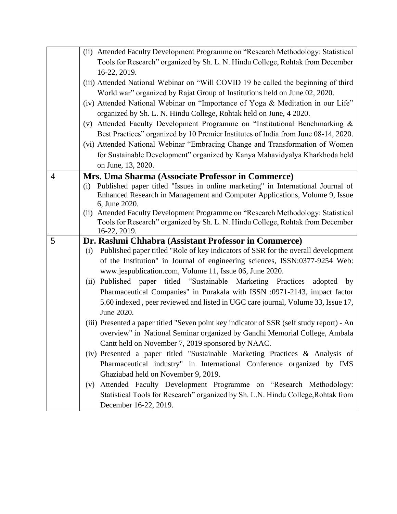|                | Tools for Research" organized by Sh. L. N. Hindu College, Rohtak from December                                                                                                                                                                                                                                                                                                                                                                                                                                                                                                                                                                              |
|----------------|-------------------------------------------------------------------------------------------------------------------------------------------------------------------------------------------------------------------------------------------------------------------------------------------------------------------------------------------------------------------------------------------------------------------------------------------------------------------------------------------------------------------------------------------------------------------------------------------------------------------------------------------------------------|
|                | 16-22, 2019.                                                                                                                                                                                                                                                                                                                                                                                                                                                                                                                                                                                                                                                |
|                | (iii) Attended National Webinar on "Will COVID 19 be called the beginning of third                                                                                                                                                                                                                                                                                                                                                                                                                                                                                                                                                                          |
|                | World war" organized by Rajat Group of Institutions held on June 02, 2020.                                                                                                                                                                                                                                                                                                                                                                                                                                                                                                                                                                                  |
|                | (iv) Attended National Webinar on "Importance of Yoga & Meditation in our Life"                                                                                                                                                                                                                                                                                                                                                                                                                                                                                                                                                                             |
|                | organized by Sh. L. N. Hindu College, Rohtak held on June, 4 2020.                                                                                                                                                                                                                                                                                                                                                                                                                                                                                                                                                                                          |
|                | (v) Attended Faculty Development Programme on "Institutional Benchmarking &                                                                                                                                                                                                                                                                                                                                                                                                                                                                                                                                                                                 |
|                | Best Practices" organized by 10 Premier Institutes of India from June 08-14, 2020.                                                                                                                                                                                                                                                                                                                                                                                                                                                                                                                                                                          |
|                | (vi) Attended National Webinar "Embracing Change and Transformation of Women                                                                                                                                                                                                                                                                                                                                                                                                                                                                                                                                                                                |
|                | for Sustainable Development" organized by Kanya Mahavidyalya Kharkhoda held                                                                                                                                                                                                                                                                                                                                                                                                                                                                                                                                                                                 |
|                | on June, 13, 2020.                                                                                                                                                                                                                                                                                                                                                                                                                                                                                                                                                                                                                                          |
| $\overline{4}$ | Mrs. Uma Sharma (Associate Professor in Commerce)                                                                                                                                                                                                                                                                                                                                                                                                                                                                                                                                                                                                           |
|                | Published paper titled "Issues in online marketing" in International Journal of<br>(i)                                                                                                                                                                                                                                                                                                                                                                                                                                                                                                                                                                      |
|                | Enhanced Research in Management and Computer Applications, Volume 9, Issue                                                                                                                                                                                                                                                                                                                                                                                                                                                                                                                                                                                  |
|                | 6, June 2020.                                                                                                                                                                                                                                                                                                                                                                                                                                                                                                                                                                                                                                               |
|                | (ii) Attended Faculty Development Programme on "Research Methodology: Statistical                                                                                                                                                                                                                                                                                                                                                                                                                                                                                                                                                                           |
|                | Tools for Research" organized by Sh. L. N. Hindu College, Rohtak from December<br>16-22, 2019.                                                                                                                                                                                                                                                                                                                                                                                                                                                                                                                                                              |
| 5              | Dr. Rashmi Chhabra (Assistant Professor in Commerce)                                                                                                                                                                                                                                                                                                                                                                                                                                                                                                                                                                                                        |
|                | Published paper titled "Role of key indicators of SSR for the overall development<br>(i)                                                                                                                                                                                                                                                                                                                                                                                                                                                                                                                                                                    |
|                | of the Institution" in Journal of engineering sciences, ISSN:0377-9254 Web:                                                                                                                                                                                                                                                                                                                                                                                                                                                                                                                                                                                 |
|                | www.jespublication.com, Volume 11, Issue 06, June 2020.                                                                                                                                                                                                                                                                                                                                                                                                                                                                                                                                                                                                     |
|                |                                                                                                                                                                                                                                                                                                                                                                                                                                                                                                                                                                                                                                                             |
|                |                                                                                                                                                                                                                                                                                                                                                                                                                                                                                                                                                                                                                                                             |
|                |                                                                                                                                                                                                                                                                                                                                                                                                                                                                                                                                                                                                                                                             |
|                |                                                                                                                                                                                                                                                                                                                                                                                                                                                                                                                                                                                                                                                             |
|                |                                                                                                                                                                                                                                                                                                                                                                                                                                                                                                                                                                                                                                                             |
|                |                                                                                                                                                                                                                                                                                                                                                                                                                                                                                                                                                                                                                                                             |
|                |                                                                                                                                                                                                                                                                                                                                                                                                                                                                                                                                                                                                                                                             |
|                |                                                                                                                                                                                                                                                                                                                                                                                                                                                                                                                                                                                                                                                             |
|                |                                                                                                                                                                                                                                                                                                                                                                                                                                                                                                                                                                                                                                                             |
|                |                                                                                                                                                                                                                                                                                                                                                                                                                                                                                                                                                                                                                                                             |
|                |                                                                                                                                                                                                                                                                                                                                                                                                                                                                                                                                                                                                                                                             |
|                | Ghaziabad held on November 9, 2019.                                                                                                                                                                                                                                                                                                                                                                                                                                                                                                                                                                                                                         |
|                | (v) Attended Faculty Development Programme on "Research Methodology:<br>Statistical Tools for Research" organized by Sh. L.N. Hindu College, Rohtak from                                                                                                                                                                                                                                                                                                                                                                                                                                                                                                    |
|                | titled "Sustainable Marketing Practices"<br>(ii) Published<br>paper<br>adopted<br>by<br>Pharmaceutical Companies" in Purakala with ISSN :0971-2143, impact factor<br>5.60 indexed, peer reviewed and listed in UGC care journal, Volume 33, Issue 17,<br>June 2020.<br>(iii) Presented a paper titled "Seven point key indicator of SSR (self study report) - An<br>overview" in National Seminar organized by Gandhi Memorial College, Ambala<br>Cant held on November 7, 2019 sponsored by NAAC.<br>(iv) Presented a paper titled "Sustainable Marketing Practices & Analysis of<br>Pharmaceutical industry" in International Conference organized by IMS |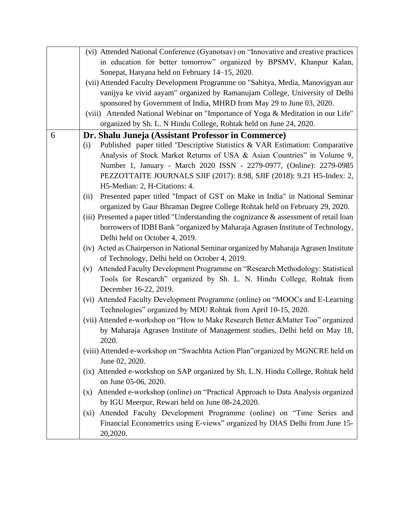|   | (vi) Attended National Conference (Gyanotsav) on "Innovative and creative practices         |
|---|---------------------------------------------------------------------------------------------|
|   | in education for better tomorrow" organized by BPSMV, Khanpur Kalan,                        |
|   | Sonepat, Haryana held on February 14–15, 2020.                                              |
|   | (vii) Attended Faculty Development Programme on "Sahitya, Media, Manovigyan aur             |
|   | vanijya ke vivid aayam" organized by Ramanujam College, University of Delhi                 |
|   | sponsored by Government of India, MHRD from May 29 to June 03, 2020.                        |
|   | (viii) Attended National Webinar on "Importance of Yoga & Meditation in our Life"           |
|   | organized by Sh. L. N Hindu College, Rohtak held on June 24, 2020.                          |
| 6 | Dr. Shalu Juneja (Assistant Professor in Commerce)                                          |
|   | Published paper titled "Descriptive Statistics & VAR Estimation: Comparative<br>(i)         |
|   | Analysis of Stock Market Returns of USA & Asian Countries" in Volume 9,                     |
|   | Number 1, January - March 2020 ISSN - 2279-0977, (Online): 2279-0985                        |
|   | PEZZOTTAITE JOURNALS SJIF (2017): 8.98, SJIF (2018): 9.21 H5-Index: 2,                      |
|   | H5-Median: 2, H-Citations: 4.                                                               |
|   | Presented paper titled "Impact of GST on Make in India" in National Seminar<br>(ii)         |
|   | organized by Gaur Bhraman Degree College Rohtak held on February 29, 2020.                  |
|   | (iii) Presented a paper titled "Understanding the cognizance $\&$ assessment of retail loan |
|   | borrowers of IDBI Bank "organized by Maharaja Agrasen Institute of Technology,              |
|   | Delhi held on October 4, 2019.                                                              |
|   | (iv) Acted as Chairperson in National Seminar organized by Maharaja Agrasen Institute       |
|   | of Technology, Delhi held on October 4, 2019.                                               |
|   | Attended Faculty Development Programme on "Research Methodology: Statistical<br>(v)         |
|   | Tools for Research" organized by Sh. L. N. Hindu College, Rohtak from                       |
|   | December 16-22, 2019.                                                                       |
|   | (vi) Attended Faculty Development Programme (online) on "MOOCs and E-Learning               |
|   | Technologies" organized by MDU Rohtak from April 10-15, 2020.                               |
|   | (vii) Attended e-workshop on "How to Make Research Better & Matter Too" organized           |
|   | by Maharaja Agrasen Institute of Management studies, Delhi held on May 18,                  |
|   | 2020.                                                                                       |
|   | (viii) Attended e-workshop on "Swachhta Action Plan"organized by MGNCRE held on             |
|   | June 02, 2020.                                                                              |
|   | (ix) Attended e-workshop on SAP organized by Sh. L.N. Hindu College, Rohtak held            |
|   | on June 05-06, 2020.                                                                        |
|   | Attended e-workshop (online) on "Practical Approach to Data Analysis organized<br>(X)       |
|   | by IGU Meerpur, Rewari held on June 08-24,2020.                                             |
|   | Attended Faculty Development Programme (online) on "Time Series and<br>$(x_i)$              |
|   | Financial Econometrics using E-views" organized by DIAS Delhi from June 15-                 |
|   | 20,2020.                                                                                    |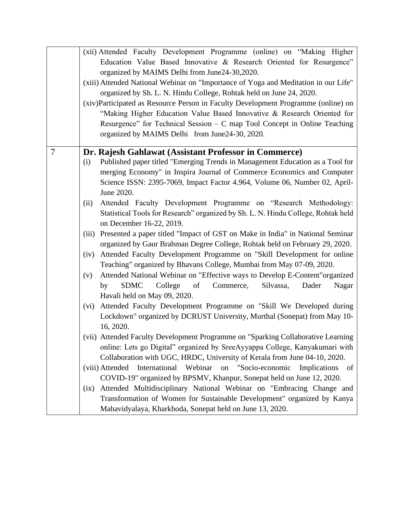|   | (xii) Attended Faculty Development Programme (online) on "Making Higher                    |
|---|--------------------------------------------------------------------------------------------|
|   | Education Value Based Innovative & Research Oriented for Resurgence"                       |
|   | organized by MAIMS Delhi from June24-30,2020.                                              |
|   | (xiii) Attended National Webinar on "Importance of Yoga and Meditation in our Life"        |
|   | organized by Sh. L. N. Hindu College, Rohtak held on June 24, 2020.                        |
|   | (xiv)Participated as Resource Person in Faculty Development Programme (online) on          |
|   | "Making Higher Education Value Based Innovative & Research Oriented for                    |
|   | Resurgence" for Technical Session $-C$ map Tool Concept in Online Teaching                 |
|   | organized by MAIMS Delhi from June24-30, 2020.                                             |
|   |                                                                                            |
| 7 | Dr. Rajesh Gahlawat (Assistant Professor in Commerce)                                      |
|   | Published paper titled "Emerging Trends in Management Education as a Tool for<br>(i)       |
|   | merging Economy" in Inspira Journal of Commerce Economics and Computer                     |
|   | Science ISSN: 2395-7069, Impact Factor 4.964, Volume 06, Number 02, April-                 |
|   | June 2020.                                                                                 |
|   | Attended Faculty Development Programme on "Research Methodology:<br>(ii)                   |
|   | Statistical Tools for Research" organized by Sh. L. N. Hindu College, Rohtak held          |
|   | on December 16-22, 2019.                                                                   |
|   | Presented a paper titled "Impact of GST on Make in India" in National Seminar<br>(iii)     |
|   | organized by Gaur Brahman Degree College, Rohtak held on February 29, 2020.                |
|   | Attended Faculty Development Programme on "Skill Development for online<br>(iv)            |
|   | Teaching" organized by Bhavans College, Mumbai from May 07-09, 2020.                       |
|   | Attended National Webinar on "Effective ways to Develop E-Content"organized<br>(v)         |
|   | <sub>of</sub><br>Commerce,<br>Silvassa,<br><b>SDMC</b><br>College<br>Dader<br>Nagar<br>by  |
|   | Havali held on May 09, 2020.                                                               |
|   | Attended Faculty Development Programme on "Skill We Developed during<br>(vi)               |
|   | Lockdown" organized by DCRUST University, Murthal (Sonepat) from May 10-                   |
|   | 16, 2020.                                                                                  |
|   | (vii) Attended Faculty Development Programme on "Sparking Collaborative Learning           |
|   | online: Lets go Digital" organized by SreeAyyappa College, Kanyakumari with                |
|   | Collaboration with UGC, HRDC, University of Kerala from June 04-10, 2020.                  |
|   | International<br>Webinar<br>"Socio-economic<br>(viii) Attended<br>on<br>Implications<br>of |
|   | COVID-19" organized by BPSMV, Khanpur, Sonepat held on June 12, 2020.                      |
|   | Attended Multidisciplinary National Webinar on "Embracing Change and<br>(ix)               |
|   | Transformation of Women for Sustainable Development" organized by Kanya                    |
|   | Mahavidyalaya, Kharkhoda, Sonepat held on June 13, 2020.                                   |
|   |                                                                                            |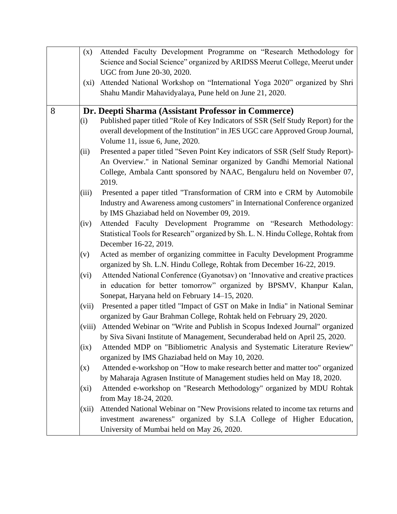|   | (x)     | Attended Faculty Development Programme on "Research Methodology for               |
|---|---------|-----------------------------------------------------------------------------------|
|   |         | Science and Social Science" organized by ARIDSS Meerut College, Meerut under      |
|   |         | UGC from June 20-30, 2020.                                                        |
|   | (xi)    | Attended National Workshop on "International Yoga 2020" organized by Shri         |
|   |         | Shahu Mandir Mahavidyalaya, Pune held on June 21, 2020.                           |
|   |         |                                                                                   |
| 8 |         | Dr. Deepti Sharma (Assistant Professor in Commerce)                               |
|   | (i)     | Published paper titled "Role of Key Indicators of SSR (Self Study Report) for the |
|   |         | overall development of the Institution" in JES UGC care Approved Group Journal,   |
|   |         | Volume 11, issue 6, June, 2020.                                                   |
|   | (ii)    | Presented a paper titled "Seven Point Key indicators of SSR (Self Study Report)-  |
|   |         | An Overview." in National Seminar organized by Gandhi Memorial National           |
|   |         | College, Ambala Cantt sponsored by NAAC, Bengaluru held on November 07,           |
|   |         | 2019.                                                                             |
|   | (iii)   | Presented a paper titled "Transformation of CRM into e CRM by Automobile          |
|   |         | Industry and Awareness among customers" in International Conference organized     |
|   |         | by IMS Ghaziabad held on November 09, 2019.                                       |
|   | (iv)    | Attended Faculty Development Programme on "Research Methodology:                  |
|   |         | Statistical Tools for Research" organized by Sh. L. N. Hindu College, Rohtak from |
|   |         | December 16-22, 2019.                                                             |
|   | (v)     | Acted as member of organizing committee in Faculty Development Programme          |
|   |         | organized by Sh. L.N. Hindu College, Rohtak from December 16-22, 2019.            |
|   | (vi)    | Attended National Conference (Gyanotsav) on 'Innovative and creative practices    |
|   |         | in education for better tomorrow" organized by BPSMV, Khanpur Kalan,              |
|   |         | Sonepat, Haryana held on February 14–15, 2020.                                    |
|   | (vii)   | Presented a paper titled "Impact of GST on Make in India" in National Seminar     |
|   |         | organized by Gaur Brahman College, Rohtak held on February 29, 2020.              |
|   | (viii)  | Attended Webinar on "Write and Publish in Scopus Indexed Journal" organized       |
|   |         | by Siva Sivani Institute of Management, Secunderabad held on April 25, 2020.      |
|   | (ix)    | Attended MDP on "Bibliometric Analysis and Systematic Literature Review"          |
|   |         | organized by IMS Ghaziabad held on May 10, 2020.                                  |
|   | (x)     | Attended e-workshop on "How to make research better and matter too" organized     |
|   |         | by Maharaja Agrasen Institute of Management studies held on May 18, 2020.         |
|   | $(x_i)$ | Attended e-workshop on "Research Methodology" organized by MDU Rohtak             |
|   |         | from May 18-24, 2020.                                                             |
|   | (xii)   | Attended National Webinar on "New Provisions related to income tax returns and    |
|   |         | investment awareness" organized by S.I.A College of Higher Education,             |
|   |         | University of Mumbai held on May 26, 2020.                                        |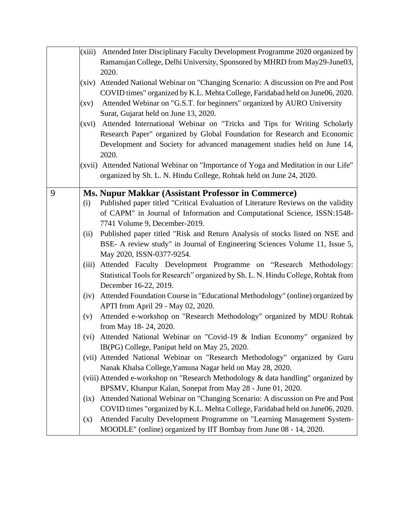|   |       | (xiii) Attended Inter Disciplinary Faculty Development Programme 2020 organized by  |
|---|-------|-------------------------------------------------------------------------------------|
|   |       | Ramanujan College, Delhi University, Sponsored by MHRD from May29-June03,           |
|   |       | 2020.                                                                               |
|   | (xiv) | Attended National Webinar on "Changing Scenario: A discussion on Pre and Post       |
|   |       | COVID times" organized by K.L. Mehta College, Faridabad held on June06, 2020.       |
|   | (xv)  | Attended Webinar on "G.S.T. for beginners" organized by AURO University             |
|   |       | Surat, Gujarat held on June 13, 2020.                                               |
|   |       | (xvi) Attended International Webinar on "Tricks and Tips for Writing Scholarly      |
|   |       | Research Paper" organized by Global Foundation for Research and Economic            |
|   |       | Development and Society for advanced management studies held on June 14,            |
|   |       | 2020.                                                                               |
|   |       | (xvii) Attended National Webinar on "Importance of Yoga and Meditation in our Life" |
|   |       | organized by Sh. L. N. Hindu College, Rohtak held on June 24, 2020.                 |
|   |       |                                                                                     |
| 9 |       | <b>Ms. Nupur Makkar (Assistant Professor in Commerce)</b>                           |
|   | (i)   | Published paper titled "Critical Evaluation of Literature Reviews on the validity   |
|   |       | of CAPM" in Journal of Information and Computational Science, ISSN:1548-            |
|   |       | 7741 Volume 9, December-2019.                                                       |
|   | (ii)  | Published paper titled "Risk and Return Analysis of stocks listed on NSE and        |
|   |       | BSE- A review study" in Journal of Engineering Sciences Volume 11, Issue 5,         |
|   |       | May 2020, ISSN-0377-9254.                                                           |
|   | (iii) | Attended Faculty Development Programme on "Research Methodology:                    |
|   |       | Statistical Tools for Research" organized by Sh. L. N. Hindu College, Rohtak from   |
|   |       | December 16-22, 2019.                                                               |
|   | (iv)  | Attended Foundation Course in "Educational Methodology" (online) organized by       |
|   |       | APTI from April 29 - May 02, 2020.                                                  |
|   | (v)   | Attended e-workshop on "Research Methodology" organized by MDU Rohtak               |
|   |       | from May 18-24, 2020.                                                               |
|   |       | (vi) Attended National Webinar on "Covid-19 & Indian Economy" organized by          |
|   |       | IB(PG) College, Panipat held on May 25, 2020.                                       |
|   |       | (vii) Attended National Webinar on "Research Methodology" organized by Guru         |
|   |       | Nanak Khalsa College, Yamuna Nagar held on May 28, 2020.                            |
|   |       | (viii) Attended e-workshop on "Research Methodology & data handling" organized by   |
|   |       | BPSMV, Khanpur Kalan, Sonepat from May 28 - June 01, 2020.                          |
|   | (ix)  | Attended National Webinar on "Changing Scenario: A discussion on Pre and Post       |
|   |       | COVID times "organized by K.L. Mehta College, Faridabad held on June06, 2020.       |
|   | (x)   | Attended Faculty Development Programme on "Learning Management System-              |
|   |       | MOODLE" (online) organized by IIT Bombay from June 08 - 14, 2020.                   |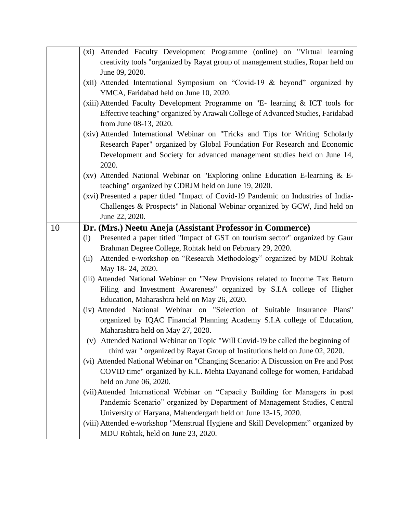|    | (xi) Attended Faculty Development Programme (online) on "Virtual learning           |
|----|-------------------------------------------------------------------------------------|
|    | creativity tools "organized by Rayat group of management studies, Ropar held on     |
|    | June 09, 2020.                                                                      |
|    | (xii) Attended International Symposium on "Covid-19 & beyond" organized by          |
|    | YMCA, Faridabad held on June 10, 2020.                                              |
|    | (xiii) Attended Faculty Development Programme on "E- learning & ICT tools for       |
|    | Effective teaching" organized by Arawali College of Advanced Studies, Faridabad     |
|    | from June 08-13, 2020.                                                              |
|    | (xiv) Attended International Webinar on "Tricks and Tips for Writing Scholarly      |
|    | Research Paper" organized by Global Foundation For Research and Economic            |
|    | Development and Society for advanced management studies held on June 14,            |
|    | 2020.                                                                               |
|    | (xv) Attended National Webinar on "Exploring online Education E-learning & E-       |
|    | teaching" organized by CDRJM held on June 19, 2020.                                 |
|    | (xvi) Presented a paper titled "Impact of Covid-19 Pandemic on Industries of India- |
|    | Challenges & Prospects" in National Webinar organized by GCW, Jind held on          |
|    | June 22, 2020.                                                                      |
| 10 | Dr. (Mrs.) Neetu Aneja (Assistant Professor in Commerce)                            |
|    | Presented a paper titled "Impact of GST on tourism sector" organized by Gaur<br>(i) |
|    | Brahman Degree College, Rohtak held on February 29, 2020.                           |
|    | Attended e-workshop on "Research Methodology" organized by MDU Rohtak<br>(ii)       |
|    | May 18-24, 2020.                                                                    |
|    | (iii) Attended National Webinar on "New Provisions related to Income Tax Return     |
|    | Filing and Investment Awareness" organized by S.I.A college of Higher               |
|    | Education, Maharashtra held on May 26, 2020.                                        |
|    | (iv) Attended National Webinar on "Selection of Suitable Insurance Plans"           |
|    | organized by IQAC Financial Planning Academy S.I.A college of Education,            |
|    | Maharashtra held on May 27, 2020.                                                   |
|    | (v) Attended National Webinar on Topic "Will Covid-19 be called the beginning of    |
|    | third war " organized by Rayat Group of Institutions held on June 02, 2020.         |
|    | (vi) Attended National Webinar on "Changing Scenario: A Discussion on Pre and Post  |
|    | COVID time" organized by K.L. Mehta Dayanand college for women, Faridabad           |
|    | held on June 06, 2020.                                                              |
|    | (vii) Attended International Webinar on "Capacity Building for Managers in post     |
|    | Pandemic Scenario" organized by Department of Management Studies, Central           |
|    | University of Haryana, Mahendergarh held on June 13-15, 2020.                       |
|    | (viii) Attended e-workshop "Menstrual Hygiene and Skill Development" organized by   |
|    | MDU Rohtak, held on June 23, 2020.                                                  |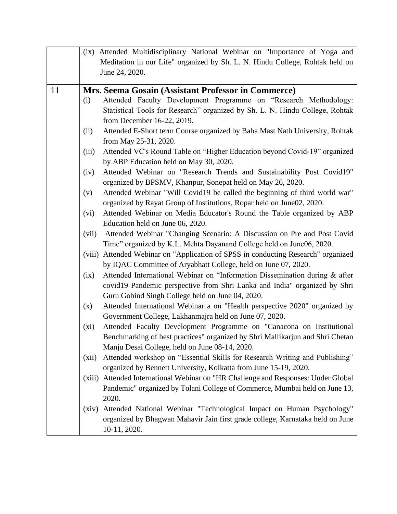|    |         | (ix) Attended Multidisciplinary National Webinar on "Importance of Yoga and        |
|----|---------|------------------------------------------------------------------------------------|
|    |         | Meditation in our Life" organized by Sh. L. N. Hindu College, Rohtak held on       |
|    |         | June 24, 2020.                                                                     |
|    |         |                                                                                    |
| 11 |         | Mrs. Seema Gosain (Assistant Professor in Commerce)                                |
|    | (i)     | Attended Faculty Development Programme on "Research Methodology:                   |
|    |         | Statistical Tools for Research" organized by Sh. L. N. Hindu College, Rohtak       |
|    |         | from December 16-22, 2019.                                                         |
|    | (ii)    | Attended E-Short term Course organized by Baba Mast Nath University, Rohtak        |
|    |         | from May 25-31, 2020.                                                              |
|    | (iii)   | Attended VC's Round Table on "Higher Education beyond Covid-19" organized          |
|    |         | by ABP Education held on May 30, 2020.                                             |
|    | (iv)    | Attended Webinar on "Research Trends and Sustainability Post Covid19"              |
|    |         | organized by BPSMV, Khanpur, Sonepat held on May 26, 2020.                         |
|    | (v)     | Attended Webinar "Will Covid19 be called the beginning of third world war"         |
|    |         | organized by Rayat Group of Institutions, Ropar held on June02, 2020.              |
|    | (vi)    | Attended Webinar on Media Educator's Round the Table organized by ABP              |
|    |         | Education held on June 06, 2020.                                                   |
|    | (vii)   | Attended Webinar "Changing Scenario: A Discussion on Pre and Post Covid            |
|    |         | Time" organized by K.L. Mehta Dayanand College held on June06, 2020.               |
|    |         | (viii) Attended Webinar on "Application of SPSS in conducting Research" organized  |
|    |         | by IQAC Committee of Aryabhatt College, held on June 07, 2020.                     |
|    | (ix)    | Attended International Webinar on "Information Dissemination during & after        |
|    |         | covid19 Pandemic perspective from Shri Lanka and India" organized by Shri          |
|    |         | Guru Gobind Singh College held on June 04, 2020.                                   |
|    | (x)     | Attended International Webinar a on "Health perspective 2020" organized by         |
|    |         | Government College, Lakhanmajra held on June 07, 2020.                             |
|    | $(x_i)$ | Attended Faculty Development Programme on "Canacona on Institutional               |
|    |         | Benchmarking of best practices" organized by Shri Mallikarjun and Shri Chetan      |
|    |         | Manju Desai College, held on June 08-14, 2020.                                     |
|    | (xii)   | Attended workshop on "Essential Skills for Research Writing and Publishing"        |
|    |         | organized by Bennett University, Kolkatta from June 15-19, 2020.                   |
|    |         | (xiii) Attended International Webinar on "HR Challenge and Responses: Under Global |
|    |         | Pandemic" organized by Tolani College of Commerce, Mumbai held on June 13,         |
|    |         | 2020.                                                                              |
|    | (xiv)   | Attended National Webinar "Technological Impact on Human Psychology"               |
|    |         | organized by Bhagwan Mahavir Jain first grade college, Karnataka held on June      |
|    |         | 10-11, 2020.                                                                       |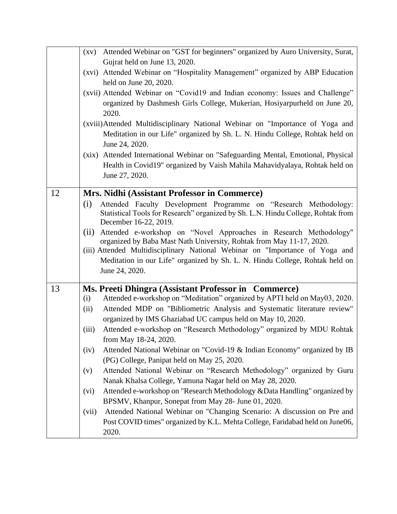|    | (xv) Attended Webinar on "GST for beginners" organized by Auro University, Surat,<br>Gujrat held on June 13, 2020.<br>(xvi) Attended Webinar on "Hospitality Management" organized by ABP Education<br>held on June 20, 2020.<br>(xvii) Attended Webinar on "Covid19 and Indian economy: Issues and Challenge"<br>organized by Dashmesh Girls College, Mukerian, Hosiyarpurheld on June 20,<br>2020.<br>(xviii)Attended Multidisciplinary National Webinar on "Importance of Yoga and<br>Meditation in our Life" organized by Sh. L. N. Hindu College, Rohtak held on<br>June 24, 2020.<br>(xix) Attended International Webinar on "Safeguarding Mental, Emotional, Physical                                                                                                                                                                                                                                                                                                                                     |
|----|------------------------------------------------------------------------------------------------------------------------------------------------------------------------------------------------------------------------------------------------------------------------------------------------------------------------------------------------------------------------------------------------------------------------------------------------------------------------------------------------------------------------------------------------------------------------------------------------------------------------------------------------------------------------------------------------------------------------------------------------------------------------------------------------------------------------------------------------------------------------------------------------------------------------------------------------------------------------------------------------------------------|
|    | Health in Covid19" organized by Vaish Mahila Mahavidyalaya, Rohtak held on<br>June 27, 2020.                                                                                                                                                                                                                                                                                                                                                                                                                                                                                                                                                                                                                                                                                                                                                                                                                                                                                                                     |
| 12 | Mrs. Nidhi (Assistant Professor in Commerce)<br>Attended Faculty Development Programme on "Research Methodology:<br>(i)<br>Statistical Tools for Research" organized by Sh. L.N. Hindu College, Rohtak from<br>December 16-22, 2019.<br>Attended e-workshop on "Novel Approaches in Research Methodology"<br>(ii)<br>organized by Baba Mast Nath University, Rohtak from May 11-17, 2020.<br>(iii) Attended Multidisciplinary National Webinar on "Importance of Yoga and<br>Meditation in our Life" organized by Sh. L. N. Hindu College, Rohtak held on<br>June 24, 2020.                                                                                                                                                                                                                                                                                                                                                                                                                                      |
| 13 | Ms. Preeti Dhingra (Assistant Professor in Commerce)<br>Attended e-workshop on "Meditation" organized by APTI held on May03, 2020.<br>(i)<br>Attended MDP on "Bibliometric Analysis and Systematic literature review"<br>(ii)<br>organized by IMS Ghaziabad UC campus held on May 10, 2020.<br>Attended e-workshop on "Research Methodology" organized by MDU Rohtak<br>(iii)<br>from May 18-24, 2020.<br>Attended National Webinar on "Covid-19 & Indian Economy" organized by IB<br>(iv)<br>(PG) College, Panipat held on May 25, 2020.<br>Attended National Webinar on "Research Methodology" organized by Guru<br>(v)<br>Nanak Khalsa College, Yamuna Nagar held on May 28, 2020.<br>Attended e-workshop on "Research Methodology & Data Handling" organized by<br>(vi)<br>BPSMV, Khanpur, Sonepat from May 28- June 01, 2020.<br>Attended National Webinar on "Changing Scenario: A discussion on Pre and<br>(vii)<br>Post COVID times" organized by K.L. Mehta College, Faridabad held on June06,<br>2020. |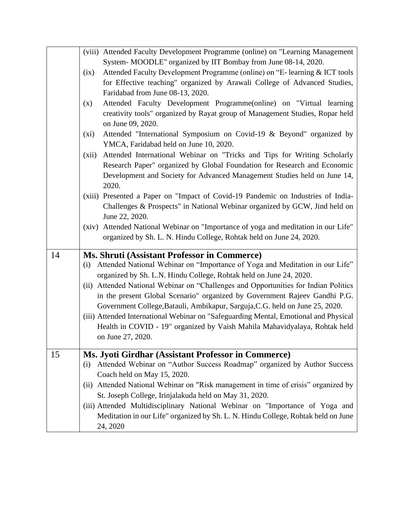|    | (viii) Attended Faculty Development Programme (online) on "Learning Management                                                                                    |
|----|-------------------------------------------------------------------------------------------------------------------------------------------------------------------|
|    | System- MOODLE" organized by IIT Bombay from June 08-14, 2020.                                                                                                    |
|    | Attended Faculty Development Programme (online) on "E- learning & ICT tools<br>(ix)                                                                               |
|    | for Effective teaching" organized by Arawali College of Advanced Studies,                                                                                         |
|    | Faridabad from June 08-13, 2020.                                                                                                                                  |
|    | Attended Faculty Development Programme(online) on "Virtual learning<br>(x)                                                                                        |
|    | creativity tools" organized by Rayat group of Management Studies, Ropar held                                                                                      |
|    | on June 09, 2020.                                                                                                                                                 |
|    | Attended "International Symposium on Covid-19 & Beyond" organized by<br>$(x_i)$                                                                                   |
|    | YMCA, Faridabad held on June 10, 2020.                                                                                                                            |
|    | Attended International Webinar on "Tricks and Tips for Writing Scholarly<br>(xii)                                                                                 |
|    | Research Paper" organized by Global Foundation for Research and Economic                                                                                          |
|    | Development and Society for Advanced Management Studies held on June 14,                                                                                          |
|    | 2020.                                                                                                                                                             |
|    | (xiii) Presented a Paper on "Impact of Covid-19 Pandemic on Industries of India-                                                                                  |
|    | Challenges & Prospects" in National Webinar organized by GCW, Jind held on                                                                                        |
|    | June 22, 2020.                                                                                                                                                    |
|    | (xiv) Attended National Webinar on "Importance of yoga and meditation in our Life"                                                                                |
|    | organized by Sh. L. N. Hindu College, Rohtak held on June 24, 2020.                                                                                               |
|    |                                                                                                                                                                   |
| 14 | Ms. Shruti (Assistant Professor in Commerce)                                                                                                                      |
|    | Attended National Webinar on "Importance of Yoga and Meditation in our Life"<br>(i)                                                                               |
|    | organized by Sh. L.N. Hindu College, Rohtak held on June 24, 2020.                                                                                                |
|    | (ii) Attended National Webinar on "Challenges and Opportunities for Indian Politics                                                                               |
|    | in the present Global Scenario" organized by Government Rajeev Gandhi P.G.                                                                                        |
|    | Government College, Batauli, Ambikapur, Sarguja, C.G. held on June 25, 2020.                                                                                      |
|    | (iii) Attended International Webinar on "Safeguarding Mental, Emotional and Physical                                                                              |
|    | Health in COVID - 19" organized by Vaish Mahila Mahavidyalaya, Rohtak held                                                                                        |
|    | on June 27, 2020.                                                                                                                                                 |
| 15 | Ms. Jyoti Girdhar (Assistant Professor in Commerce)                                                                                                               |
|    | Attended Webinar on "Author Success Roadmap" organized by Author Success<br>(i)                                                                                   |
|    | Coach held on May 15, 2020.                                                                                                                                       |
|    | (ii) Attended National Webinar on "Risk management in time of crisis" organized by                                                                                |
|    | St. Joseph College, Irinjalakuda held on May 31, 2020.                                                                                                            |
|    |                                                                                                                                                                   |
|    |                                                                                                                                                                   |
|    | (iii) Attended Multidisciplinary National Webinar on "Importance of Yoga and<br>Meditation in our Life" organized by Sh. L. N. Hindu College, Rohtak held on June |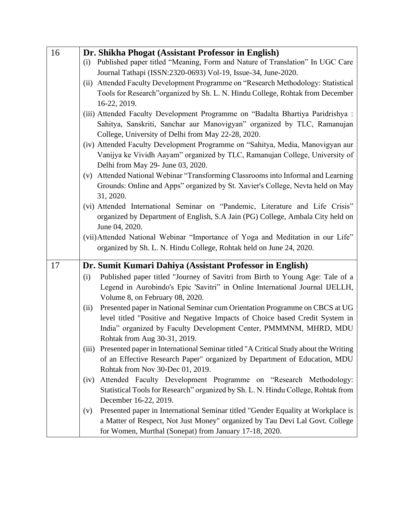| 16 | Dr. Shikha Phogat (Assistant Professor in English)                                           |
|----|----------------------------------------------------------------------------------------------|
|    | (i) Published paper titled "Meaning, Form and Nature of Translation" In UGC Care             |
|    | Journal Tathapi (ISSN:2320-0693) Vol-19, Issue-34, June-2020.                                |
|    | (ii) Attended Faculty Development Programme on "Research Methodology: Statistical            |
|    | Tools for Research"organized by Sh. L. N. Hindu College, Rohtak from December                |
|    | 16-22, 2019.                                                                                 |
|    | (iii) Attended Faculty Development Programme on "Badalta Bhartiya Paridrishya :              |
|    | Sahitya, Sanskriti, Sanchar aur Manovigyan" organized by TLC, Ramanujan                      |
|    | College, University of Delhi from May 22-28, 2020.                                           |
|    | (iv) Attended Faculty Development Programme on "Sahitya, Media, Manovigyan aur               |
|    | Vanijya ke Vividh Aayam" organized by TLC, Ramanujan College, University of                  |
|    | Delhi from May 29- June 03, 2020.                                                            |
|    | Attended National Webinar "Transforming Classrooms into Informal and Learning<br>(v)         |
|    | Grounds: Online and Apps" organized by St. Xavier's College, Nevta held on May               |
|    | 31, 2020.                                                                                    |
|    | (vi) Attended International Seminar on "Pandemic, Literature and Life Crisis"                |
|    | organized by Department of English, S.A Jain (PG) College, Ambala City held on               |
|    | June 04, 2020.                                                                               |
|    | (vii) Attended National Webinar "Importance of Yoga and Meditation in our Life"              |
|    | organized by Sh. L. N. Hindu College, Rohtak held on June 24, 2020.                          |
|    |                                                                                              |
| 17 | Dr. Sumit Kumari Dahiya (Assistant Professor in English)                                     |
|    | Published paper titled "Journey of Savitri from Birth to Young Age: Tale of a<br>(i)         |
|    | Legend in Aurobindo's Epic 'Savitri" in Online International Journal IJELLH,                 |
|    | Volume 8, on February 08, 2020.                                                              |
|    | Presented paper in National Seminar cum Orientation Programme on CBCS at UG<br>(ii)          |
|    | level titled "Positive and Negative Impacts of Choice based Credit System in                 |
|    | India" organized by Faculty Development Center, PMMMNM, MHRD, MDU                            |
|    | Rohtak from Aug 30-31, 2019.                                                                 |
|    | Presented paper in International Seminar titled "A Critical Study about the Writing<br>(iii) |
|    | of an Effective Research Paper" organized by Department of Education, MDU                    |
|    | Rohtak from Nov 30-Dec 01, 2019.                                                             |
|    | Attended Faculty Development Programme on "Research Methodology:<br>(iv)                     |
|    | Statistical Tools for Research" organized by Sh. L. N. Hindu College, Rohtak from            |
|    | December 16-22, 2019.                                                                        |
|    | Presented paper in International Seminar titled "Gender Equality at Workplace is<br>(v)      |
|    | a Matter of Respect, Not Just Money" organized by Tau Devi Lal Govt. College                 |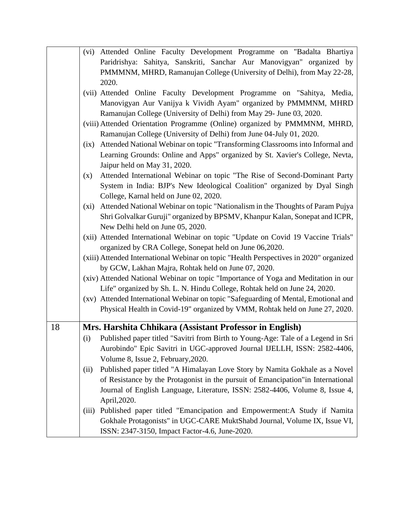|    | (vi) Attended Online Faculty Development Programme on "Badalta Bhartiya                   |
|----|-------------------------------------------------------------------------------------------|
|    | Paridrishya: Sahitya, Sanskriti, Sanchar Aur Manovigyan" organized by                     |
|    | PMMMNM, MHRD, Ramanujan College (University of Delhi), from May 22-28,                    |
|    | 2020.                                                                                     |
|    | (vii) Attended Online Faculty Development Programme on "Sahitya, Media,                   |
|    | Manovigyan Aur Vanijya k Vividh Ayam" organized by PMMMNM, MHRD                           |
|    | Ramanujan College (University of Delhi) from May 29- June 03, 2020.                       |
|    | (viii) Attended Orientation Programme (Online) organized by PMMMNM, MHRD,                 |
|    | Ramanujan College (University of Delhi) from June 04-July 01, 2020.                       |
|    | Attended National Webinar on topic "Transforming Classrooms into Informal and<br>(ix)     |
|    | Learning Grounds: Online and Apps" organized by St. Xavier's College, Nevta,              |
|    | Jaipur held on May 31, 2020.                                                              |
|    | Attended International Webinar on topic "The Rise of Second-Dominant Party<br>(x)         |
|    | System in India: BJP's New Ideological Coalition" organized by Dyal Singh                 |
|    | College, Karnal held on June 02, 2020.                                                    |
|    | Attended National Webinar on topic "Nationalism in the Thoughts of Param Pujya<br>$(x_i)$ |
|    | Shri Golvalkar Guruji" organized by BPSMV, Khanpur Kalan, Sonepat and ICPR,               |
|    | New Delhi held on June 05, 2020.                                                          |
|    | (xii) Attended International Webinar on topic "Update on Covid 19 Vaccine Trials"         |
|    | organized by CRA College, Sonepat held on June 06,2020.                                   |
|    | (xiii) Attended International Webinar on topic "Health Perspectives in 2020" organized    |
|    | by GCW, Lakhan Majra, Rohtak held on June 07, 2020.                                       |
|    | (xiv) Attended National Webinar on topic "Importance of Yoga and Meditation in our        |
|    | Life" organized by Sh. L. N. Hindu College, Rohtak held on June 24, 2020.                 |
|    | (xv) Attended International Webinar on topic "Safeguarding of Mental, Emotional and       |
|    | Physical Health in Covid-19" organized by VMM, Rohtak held on June 27, 2020.              |
|    |                                                                                           |
| 18 | Mrs. Harshita Chhikara (Assistant Professor in English)                                   |
|    | Published paper titled "Savitri from Birth to Young-Age: Tale of a Legend in Sri<br>(i)   |
|    | Aurobindo" Epic Savitri in UGC-approved Journal IJELLH, ISSN: 2582-4406,                  |
|    | Volume 8, Issue 2, February, 2020.                                                        |
|    | Published paper titled "A Himalayan Love Story by Namita Gokhale as a Novel<br>(ii)       |
|    | of Resistance by the Protagonist in the pursuit of Emancipation" in International         |
|    | Journal of English Language, Literature, ISSN: 2582-4406, Volume 8, Issue 4,              |
|    | April, 2020.                                                                              |
|    | Published paper titled "Emancipation and Empowerment: A Study if Namita<br>(iii)          |
|    | Gokhale Protagonists" in UGC-CARE MuktShabd Journal, Volume IX, Issue VI,                 |
|    | ISSN: 2347-3150, Impact Factor-4.6, June-2020.                                            |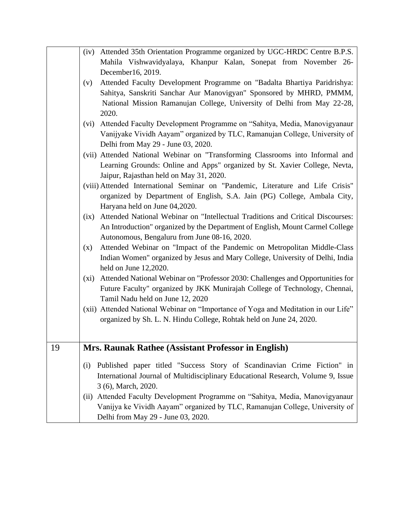|    | (iv) Attended 35th Orientation Programme organized by UGC-HRDC Centre B.P.S.           |
|----|----------------------------------------------------------------------------------------|
|    | Mahila Vishwavidyalaya, Khanpur Kalan, Sonepat from November 26-                       |
|    | December16, 2019.                                                                      |
|    | Attended Faculty Development Programme on "Badalta Bhartiya Paridrishya:<br>(v)        |
|    | Sahitya, Sanskriti Sanchar Aur Manovigyan" Sponsored by MHRD, PMMM,                    |
|    | National Mission Ramanujan College, University of Delhi from May 22-28,                |
|    | 2020.                                                                                  |
|    | Attended Faculty Development Programme on "Sahitya, Media, Manovigyanaur<br>(vi)       |
|    | Vanijyake Vividh Aayam" organized by TLC, Ramanujan College, University of             |
|    | Delhi from May 29 - June 03, 2020.                                                     |
|    | (vii) Attended National Webinar on "Transforming Classrooms into Informal and          |
|    |                                                                                        |
|    | Learning Grounds: Online and Apps" organized by St. Xavier College, Nevta,             |
|    | Jaipur, Rajasthan held on May 31, 2020.                                                |
|    | (viii) Attended International Seminar on "Pandemic, Literature and Life Crisis"        |
|    | organized by Department of English, S.A. Jain (PG) College, Ambala City,               |
|    | Haryana held on June 04,2020.                                                          |
|    | Attended National Webinar on "Intellectual Traditions and Critical Discourses:<br>(ix) |
|    | An Introduction" organized by the Department of English, Mount Carmel College          |
|    | Autonomous, Bengaluru from June 08-16, 2020.                                           |
|    | Attended Webinar on "Impact of the Pandemic on Metropolitan Middle-Class<br>(x)        |
|    | Indian Women" organized by Jesus and Mary College, University of Delhi, India          |
|    | held on June $12,2020$ .                                                               |
|    | Attended National Webinar on "Professor 2030: Challenges and Opportunities for<br>(xi) |
|    | Future Faculty" organized by JKK Munirajah College of Technology, Chennai,             |
|    | Tamil Nadu held on June 12, 2020                                                       |
|    |                                                                                        |
|    | (xii) Attended National Webinar on "Importance of Yoga and Meditation in our Life"     |
|    | organized by Sh. L. N. Hindu College, Rohtak held on June 24, 2020.                    |
|    |                                                                                        |
| 19 | Mrs. Raunak Rathee (Assistant Professor in English)                                    |
|    |                                                                                        |
|    | Published paper titled "Success Story of Scandinavian Crime Fiction" in<br>(i)         |
|    | International Journal of Multidisciplinary Educational Research, Volume 9, Issue       |
|    | 3 (6), March, 2020.                                                                    |
|    | Attended Faculty Development Programme on "Sahitya, Media, Manovigyanaur<br>(11)       |
|    | Vanijya ke Vividh Aayam" organized by TLC, Ramanujan College, University of            |
|    |                                                                                        |
|    | Delhi from May 29 - June 03, 2020.                                                     |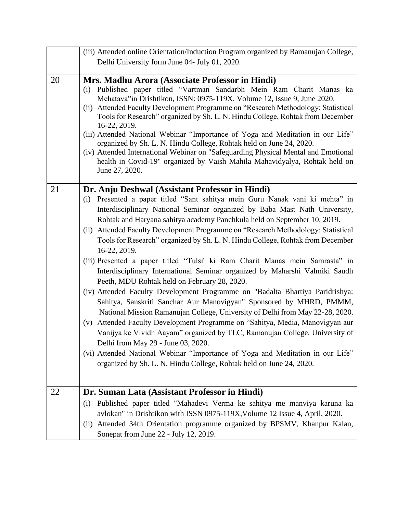|    | (iii) Attended online Orientation/Induction Program organized by Ramanujan College,                                                                                                                                                                                                                                                                                                                                                                                                                                                                                                                                                                                                                                                                                                                                                                                                                                                                                                                                                                                                                                                                                                                                                                                                                              |
|----|------------------------------------------------------------------------------------------------------------------------------------------------------------------------------------------------------------------------------------------------------------------------------------------------------------------------------------------------------------------------------------------------------------------------------------------------------------------------------------------------------------------------------------------------------------------------------------------------------------------------------------------------------------------------------------------------------------------------------------------------------------------------------------------------------------------------------------------------------------------------------------------------------------------------------------------------------------------------------------------------------------------------------------------------------------------------------------------------------------------------------------------------------------------------------------------------------------------------------------------------------------------------------------------------------------------|
|    | Delhi University form June 04- July 01, 2020.                                                                                                                                                                                                                                                                                                                                                                                                                                                                                                                                                                                                                                                                                                                                                                                                                                                                                                                                                                                                                                                                                                                                                                                                                                                                    |
| 20 | Mrs. Madhu Arora (Associate Professor in Hindi)<br>Published paper titled "Vartman Sandarbh Mein Ram Charit Manas ka<br>(i)<br>Mehatava" in Drishtikon, ISSN: 0975-119X, Volume 12, Issue 9, June 2020.<br>(ii) Attended Faculty Development Programme on "Research Methodology: Statistical<br>Tools for Research" organized by Sh. L. N. Hindu College, Rohtak from December<br>16-22, 2019.<br>(iii) Attended National Webinar "Importance of Yoga and Meditation in our Life"<br>organized by Sh. L. N. Hindu College, Rohtak held on June 24, 2020.<br>(iv) Attended International Webinar on "Safeguarding Physical Mental and Emotional<br>health in Covid-19" organized by Vaish Mahila Mahavidyalya, Rohtak held on<br>June 27, 2020.                                                                                                                                                                                                                                                                                                                                                                                                                                                                                                                                                                   |
| 21 | Dr. Anju Deshwal (Assistant Professor in Hindi)<br>Presented a paper titled "Sant sahitya mein Guru Nanak vani ki mehta" in<br>(i)<br>Interdisciplinary National Seminar organized by Baba Mast Nath University,<br>Rohtak and Haryana sahitya academy Panchkula held on September 10, 2019.<br>Attended Faculty Development Programme on "Research Methodology: Statistical<br>(ii)<br>Tools for Research" organized by Sh. L. N. Hindu College, Rohtak from December<br>16-22, 2019.<br>(iii) Presented a paper titled "Tulsi' ki Ram Charit Manas mein Samrasta" in<br>Interdisciplinary International Seminar organized by Maharshi Valmiki Saudh<br>Peeth, MDU Rohtak held on February 28, 2020.<br>(iv) Attended Faculty Development Programme on "Badalta Bhartiya Paridrishya:<br>Sahitya, Sanskriti Sanchar Aur Manovigyan" Sponsored by MHRD, PMMM,<br>National Mission Ramanujan College, University of Delhi from May 22-28, 2020.<br>Attended Faculty Development Programme on "Sahitya, Media, Manovigyan aur<br>(v)<br>Vanijya ke Vividh Aayam" organized by TLC, Ramanujan College, University of<br>Delhi from May 29 - June 03, 2020.<br>(vi) Attended National Webinar "Importance of Yoga and Meditation in our Life"<br>organized by Sh. L. N. Hindu College, Rohtak held on June 24, 2020. |
| 22 | Dr. Suman Lata (Assistant Professor in Hindi)<br>Published paper titled "Mahadevi Verma ke sahitya me manviya karuna ka<br>(i)                                                                                                                                                                                                                                                                                                                                                                                                                                                                                                                                                                                                                                                                                                                                                                                                                                                                                                                                                                                                                                                                                                                                                                                   |
|    | avlokan" in Drishtikon with ISSN 0975-119X, Volume 12 Issue 4, April, 2020.<br>(ii) Attended 34th Orientation programme organized by BPSMV, Khanpur Kalan,<br>Sonepat from June 22 - July 12, 2019.                                                                                                                                                                                                                                                                                                                                                                                                                                                                                                                                                                                                                                                                                                                                                                                                                                                                                                                                                                                                                                                                                                              |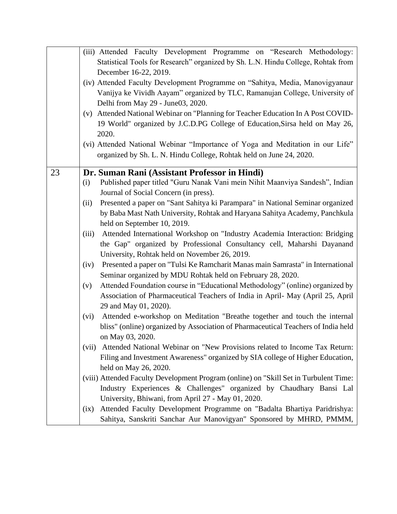|    | (iii) Attended Faculty Development Programme on "Research Methodology:                                                                                                                                                                                                               |
|----|--------------------------------------------------------------------------------------------------------------------------------------------------------------------------------------------------------------------------------------------------------------------------------------|
|    | Statistical Tools for Research" organized by Sh. L.N. Hindu College, Rohtak from                                                                                                                                                                                                     |
|    | December 16-22, 2019.                                                                                                                                                                                                                                                                |
|    | (iv) Attended Faculty Development Programme on "Sahitya, Media, Manovigyanaur                                                                                                                                                                                                        |
|    | Vanijya ke Vividh Aayam" organized by TLC, Ramanujan College, University of                                                                                                                                                                                                          |
|    | Delhi from May 29 - June03, 2020.                                                                                                                                                                                                                                                    |
|    | (v) Attended National Webinar on "Planning for Teacher Education In A Post COVID-                                                                                                                                                                                                    |
|    | 19 World" organized by J.C.D.PG College of Education, Sirsa held on May 26,                                                                                                                                                                                                          |
|    | 2020.                                                                                                                                                                                                                                                                                |
|    | (vi) Attended National Webinar "Importance of Yoga and Meditation in our Life"                                                                                                                                                                                                       |
|    | organized by Sh. L. N. Hindu College, Rohtak held on June 24, 2020.                                                                                                                                                                                                                  |
|    |                                                                                                                                                                                                                                                                                      |
| 23 | Dr. Suman Rani (Assistant Professor in Hindi)                                                                                                                                                                                                                                        |
|    | Published paper titled "Guru Nanak Vani mein Nihit Maanviya Sandesh", Indian<br>(i)                                                                                                                                                                                                  |
|    | Journal of Social Concern (in press).                                                                                                                                                                                                                                                |
|    | Presented a paper on "Sant Sahitya ki Parampara" in National Seminar organized<br>(ii)                                                                                                                                                                                               |
|    | by Baba Mast Nath University, Rohtak and Haryana Sahitya Academy, Panchkula                                                                                                                                                                                                          |
|    | held on September 10, 2019.                                                                                                                                                                                                                                                          |
|    | Attended International Workshop on "Industry Academia Interaction: Bridging<br>(iii)                                                                                                                                                                                                 |
|    |                                                                                                                                                                                                                                                                                      |
|    | the Gap" organized by Professional Consultancy cell, Maharshi Dayanand                                                                                                                                                                                                               |
|    | University, Rohtak held on November 26, 2019.                                                                                                                                                                                                                                        |
|    | Presented a paper on "Tulsi Ke Ramcharit Manas main Samrasta" in International<br>(iv)                                                                                                                                                                                               |
|    | Seminar organized by MDU Rohtak held on February 28, 2020.                                                                                                                                                                                                                           |
|    | Attended Foundation course in "Educational Methodology" (online) organized by<br>(v)                                                                                                                                                                                                 |
|    | Association of Pharmaceutical Teachers of India in April- May (April 25, April                                                                                                                                                                                                       |
|    | 29 and May 01, 2020).                                                                                                                                                                                                                                                                |
|    | Attended e-workshop on Meditation "Breathe together and touch the internal<br>(vi)                                                                                                                                                                                                   |
|    | bliss" (online) organized by Association of Pharmaceutical Teachers of India held                                                                                                                                                                                                    |
|    | on May 03, 2020.                                                                                                                                                                                                                                                                     |
|    | Attended National Webinar on "New Provisions related to Income Tax Return:<br>(vii)                                                                                                                                                                                                  |
|    | Filing and Investment Awareness" organized by SIA college of Higher Education,                                                                                                                                                                                                       |
|    | held on May 26, 2020.                                                                                                                                                                                                                                                                |
|    | (viii) Attended Faculty Development Program (online) on "Skill Set in Turbulent Time:                                                                                                                                                                                                |
|    |                                                                                                                                                                                                                                                                                      |
|    |                                                                                                                                                                                                                                                                                      |
|    |                                                                                                                                                                                                                                                                                      |
|    |                                                                                                                                                                                                                                                                                      |
|    | Industry Experiences & Challenges" organized by Chaudhary Bansi Lal<br>University, Bhiwani, from April 27 - May 01, 2020.<br>Attended Faculty Development Programme on "Badalta Bhartiya Paridrishya:<br>(ix)<br>Sahitya, Sanskriti Sanchar Aur Manovigyan" Sponsored by MHRD, PMMM, |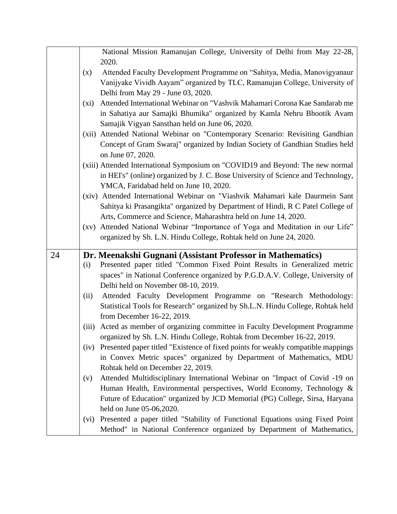|    |         | National Mission Ramanujan College, University of Delhi from May 22-28,          |
|----|---------|----------------------------------------------------------------------------------|
|    |         | 2020.                                                                            |
|    | (x)     | Attended Faculty Development Programme on "Sahitya, Media, Manovigyanaur         |
|    |         | Vanijyake Vividh Aayam" organized by TLC, Ramanujan College, University of       |
|    |         | Delhi from May 29 - June 03, 2020.                                               |
|    | $(x_i)$ | Attended International Webinar on "Vashvik Mahamari Corona Kae Sandarab me       |
|    |         | in Sahatiya aur Samajki Bhumika" organized by Kamla Nehru Bhootik Avam           |
|    |         | Samajik Vigyan Sansthan held on June 06, 2020.                                   |
|    | (xii)   | Attended National Webinar on "Contemporary Scenario: Revisiting Gandhian         |
|    |         | Concept of Gram Swaraj" organized by Indian Society of Gandhian Studies held     |
|    |         | on June 07, 2020.                                                                |
|    |         | (xiii) Attended International Symposium on "COVID19 and Beyond: The new normal   |
|    |         | in HEI's" (online) organized by J. C. Bose University of Science and Technology, |
|    |         | YMCA, Faridabad held on June 10, 2020.                                           |
|    |         | (xiv) Attended International Webinar on "Viashvik Mahamari kale Daurmein Sant    |
|    |         | Sahitya ki Prasangikta" organized by Department of Hindi, R C Patel College of   |
|    |         | Arts, Commerce and Science, Maharashtra held on June 14, 2020.                   |
|    |         | (xv) Attended National Webinar "Importance of Yoga and Meditation in our Life"   |
|    |         | organized by Sh. L.N. Hindu College, Rohtak held on June 24, 2020.               |
|    |         |                                                                                  |
| 24 |         |                                                                                  |
|    |         | Dr. Meenakshi Gugnani (Assistant Professor in Mathematics)                       |
|    | (i)     | Presented paper titled "Common Fixed Point Results in Generalized metric         |
|    |         | spaces" in National Conference organized by P.G.D.A.V. College, University of    |
|    |         | Delhi held on November 08-10, 2019.                                              |
|    | (ii)    | Attended Faculty Development Programme on "Research Methodology:                 |
|    |         | Statistical Tools for Research" organized by Sh.L.N. Hindu College, Rohtak held  |
|    |         | from December 16-22, 2019.                                                       |
|    | (iii)   | Acted as member of organizing committee in Faculty Development Programme         |
|    |         | organized by Sh. L.N. Hindu College, Rohtak from December 16-22, 2019.           |
|    | (iv)    | Presented paper titled "Existence of fixed points for weakly compatible mappings |
|    |         | in Convex Metric spaces" organized by Department of Mathematics, MDU             |
|    |         | Rohtak held on December 22, 2019.                                                |
|    | (v)     | Attended Multidisciplinary International Webinar on "Impact of Covid -19 on      |
|    |         | Human Health, Environmental perspectives, World Economy, Technology &            |
|    |         | Future of Education" organized by JCD Memorial (PG) College, Sirsa, Haryana      |
|    |         | held on June 05-06,2020.                                                         |
|    | (vi)    | Presented a paper titled "Stability of Functional Equations using Fixed Point    |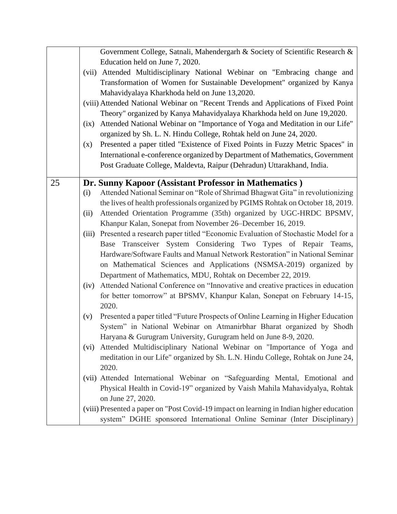|    |       | Government College, Satnali, Mahendergarh & Society of Scientific Research &             |
|----|-------|------------------------------------------------------------------------------------------|
|    |       | Education held on June 7, 2020.                                                          |
|    |       | (vii) Attended Multidisciplinary National Webinar on "Embracing change and               |
|    |       | Transformation of Women for Sustainable Development" organized by Kanya                  |
|    |       | Mahavidyalaya Kharkhoda held on June 13,2020.                                            |
|    |       | (viii) Attended National Webinar on "Recent Trends and Applications of Fixed Point       |
|    |       | Theory" organized by Kanya Mahavidyalaya Kharkhoda held on June 19,2020.                 |
|    | (ix)  | Attended National Webinar on "Importance of Yoga and Meditation in our Life"             |
|    |       | organized by Sh. L. N. Hindu College, Rohtak held on June 24, 2020.                      |
|    | (x)   | Presented a paper titled "Existence of Fixed Points in Fuzzy Metric Spaces" in           |
|    |       | International e-conference organized by Department of Mathematics, Government            |
|    |       | Post Graduate College, Maldevta, Raipur (Dehradun) Uttarakhand, India.                   |
|    |       |                                                                                          |
| 25 |       | Dr. Sunny Kapoor (Assistant Professor in Mathematics)                                    |
|    | (i)   | Attended National Seminar on "Role of Shrimad Bhagwat Gita" in revolutionizing           |
|    |       | the lives of health professionals organized by PGIMS Rohtak on October 18, 2019.         |
|    | (ii)  | Attended Orientation Programme (35th) organized by UGC-HRDC BPSMV,                       |
|    |       | Khanpur Kalan, Sonepat from November 26–December 16, 2019.                               |
|    | (iii) | Presented a research paper titled "Economic Evaluation of Stochastic Model for a         |
|    |       | Base Transceiver System Considering Two Types of Repair Teams,                           |
|    |       | Hardware/Software Faults and Manual Network Restoration" in National Seminar             |
|    |       | on Mathematical Sciences and Applications (NSMSA-2019) organized by                      |
|    |       | Department of Mathematics, MDU, Rohtak on December 22, 2019.                             |
|    | (iv)  | Attended National Conference on "Innovative and creative practices in education          |
|    |       | for better tomorrow" at BPSMV, Khanpur Kalan, Sonepat on February 14-15,                 |
|    |       | 2020.                                                                                    |
|    | (v)   | Presented a paper titled "Future Prospects of Online Learning in Higher Education        |
|    |       | System" in National Webinar on Atmanirbhar Bharat organized by Shodh                     |
|    |       | Haryana & Gurugram University, Gurugram held on June 8-9, 2020.                          |
|    | (vi)  | Attended Multidisciplinary National Webinar on "Importance of Yoga and                   |
|    |       | meditation in our Life" organized by Sh. L.N. Hindu College, Rohtak on June 24,          |
|    |       | 2020.                                                                                    |
|    |       | (vii) Attended International Webinar on "Safeguarding Mental, Emotional and              |
|    |       | Physical Health in Covid-19" organized by Vaish Mahila Mahavidyalya, Rohtak              |
|    |       | on June 27, 2020.                                                                        |
|    |       | (viii) Presented a paper on "Post Covid-19 impact on learning in Indian higher education |
|    |       | system" DGHE sponsored International Online Seminar (Inter Disciplinary)                 |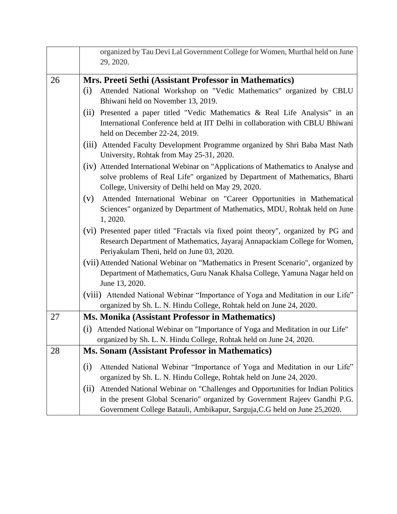|    | organized by Tau Devi Lal Government College for Women, Murthal held on June<br>29, 2020.                                                                                                                                                                                                                                                                                                                   |
|----|-------------------------------------------------------------------------------------------------------------------------------------------------------------------------------------------------------------------------------------------------------------------------------------------------------------------------------------------------------------------------------------------------------------|
|    |                                                                                                                                                                                                                                                                                                                                                                                                             |
| 26 | Mrs. Preeti Sethi (Assistant Professor in Mathematics)<br>Attended National Workshop on "Vedic Mathematics" organized by CBLU<br>(i)<br>Bhiwani held on November 13, 2019.                                                                                                                                                                                                                                  |
|    | Presented a paper titled "Vedic Mathematics & Real Life Analysis" in an<br>(ii)<br>International Conference held at IIT Delhi in collaboration with CBLU Bhiwani<br>held on December 22-24, 2019.                                                                                                                                                                                                           |
|    | (iii) Attended Faculty Development Programme organized by Shri Baba Mast Nath<br>University, Rohtak from May 25-31, 2020.                                                                                                                                                                                                                                                                                   |
|    | (iv) Attended International Webinar on "Applications of Mathematics to Analyse and<br>solve problems of Real Life" organized by Department of Mathematics, Bharti<br>College, University of Delhi held on May 29, 2020.                                                                                                                                                                                     |
|    | (v)<br>Attended International Webinar on "Career Opportunities in Mathematical<br>Sciences" organized by Department of Mathematics, MDU, Rohtak held on June<br>1, 2020.                                                                                                                                                                                                                                    |
|    | (vi) Presented paper titled "Fractals via fixed point theory", organized by PG and<br>Research Department of Mathematics, Jayaraj Annapackiam College for Women,<br>Periyakulam Theni, held on June 03, 2020.                                                                                                                                                                                               |
|    | (vii) Attended National Webinar on "Mathematics in Present Scenario", organized by<br>Department of Mathematics, Guru Nanak Khalsa College, Yamuna Nagar held on<br>June 13, 2020.                                                                                                                                                                                                                          |
|    | (viii) Attended National Webinar "Importance of Yoga and Meditation in our Life"<br>organized by Sh. L. N. Hindu College, Rohtak held on June 24, 2020.                                                                                                                                                                                                                                                     |
| 27 | Ms. Monika (Assistant Professor in Mathematics)                                                                                                                                                                                                                                                                                                                                                             |
|    | (i) Attended National Webinar on "Importance of Yoga and Meditation in our Life"<br>organized by Sh. L. N. Hindu College, Rohtak held on June 24, 2020.                                                                                                                                                                                                                                                     |
| 28 | <b>Ms. Sonam (Assistant Professor in Mathematics)</b>                                                                                                                                                                                                                                                                                                                                                       |
|    | Attended National Webinar "Importance of Yoga and Meditation in our Life"<br>(i)<br>organized by Sh. L. N. Hindu College, Rohtak held on June 24, 2020.<br>Attended National Webinar on "Challenges and Opportunities for Indian Politics<br>(i)<br>in the present Global Scenario" organized by Government Rajeev Gandhi P.G.<br>Government College Batauli, Ambikapur, Sarguja, C.G held on June 25,2020. |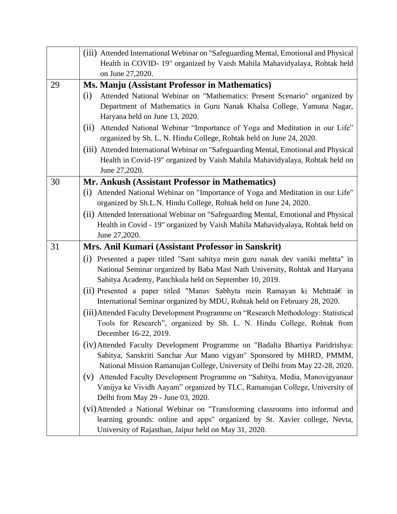|    | (iii) Attended International Webinar on "Safeguarding Mental, Emotional and Physical<br>Health in COVID-19" organized by Vaish Mahila Mahavidyalaya, Rohtak held<br>on June 27,2020.                                         |
|----|------------------------------------------------------------------------------------------------------------------------------------------------------------------------------------------------------------------------------|
| 29 | Ms. Manju (Assistant Professor in Mathematics)                                                                                                                                                                               |
|    | Attended National Webinar on "Mathematics: Present Scenario" organized by<br>(i)<br>Department of Mathematics in Guru Nanak Khalsa College, Yamuna Nagar,<br>Haryana held on June 13, 2020.                                  |
|    | Attended National Webinar "Importance of Yoga and Meditation in our Life"<br>(ii)<br>organized by Sh. L. N. Hindu College, Rohtak held on June 24, 2020.                                                                     |
|    | (iii) Attended International Webinar on "Safeguarding Mental, Emotional and Physical<br>Health in Covid-19" organized by Vaish Mahila Mahavidyalaya, Rohtak held on<br>June 27,2020.                                         |
| 30 | Mr. Ankush (Assistant Professor in Mathematics)                                                                                                                                                                              |
|    | (i) Attended National Webinar on "Importance of Yoga and Meditation in our Life"<br>organized by Sh.L.N. Hindu College, Rohtak held on June 24, 2020.                                                                        |
|    | (ii) Attended International Webinar on "Safeguarding Mental, Emotional and Physical                                                                                                                                          |
|    | Health in Covid - 19" organized by Vaish Mahila Mahavidyalaya, Rohtak held on                                                                                                                                                |
|    | June 27,2020.                                                                                                                                                                                                                |
| 31 | Mrs. Anil Kumari (Assistant Professor in Sanskrit)                                                                                                                                                                           |
|    | Presented a paper titled "Sant sahitya mein guru nanak dev vaniki mehtta" in<br>(i)<br>National Seminar organized by Baba Mast Nath University, Rohtak and Haryana<br>Sahitya Academy, Panchkula held on September 10, 2019. |
|    | (ii) Presented a paper titled "Manav Sabhyta mein Ramayan ki Mehttaâ $\epsilon$ in<br>International Seminar organized by MDU, Rohtak held on February 28, 2020.                                                              |
|    | (iii) Attended Faculty Development Programme on "Research Methodology: Statistical<br>Tools for Research", organized by Sh. L. N. Hindu College, Rohtak from<br>December 16-22, 2019.                                        |
|    | (iv) Attended Faculty Development Programme on "Badalta Bhartiya Paridrishya:                                                                                                                                                |
|    | Sahitya, Sanskriti Sanchar Aur Mano vigyan" Sponsored by MHRD, PMMM,<br>National Mission Ramanujan College, University of Delhi from May 22-28, 2020.                                                                        |
|    | (v) Attended Faculty Development Programme on "Sahitya, Media, Manovigyanaur<br>Vanijya ke Vividh Aayam" organized by TLC, Ramanujan College, University of<br>Delhi from May 29 - June 03, 2020.                            |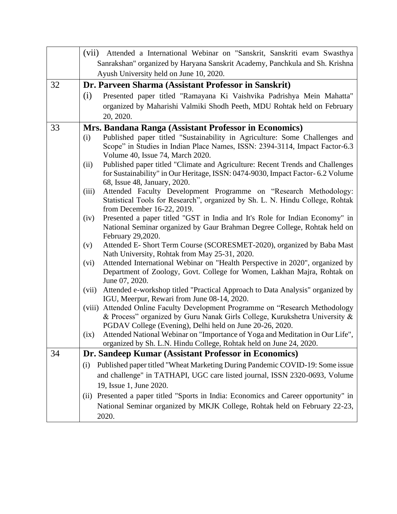|    | (vii) Attended a International Webinar on "Sanskrit, Sanskriti evam Swasthya                                                                      |
|----|---------------------------------------------------------------------------------------------------------------------------------------------------|
|    | Sanrakshan" organized by Haryana Sanskrit Academy, Panchkula and Sh. Krishna                                                                      |
|    | Ayush University held on June 10, 2020.                                                                                                           |
| 32 | Dr. Parveen Sharma (Assistant Professor in Sanskrit)                                                                                              |
|    | (i)<br>Presented paper titled "Ramayana Ki Vaishvika Padrishya Mein Mahatta"                                                                      |
|    | organized by Maharishi Valmiki Shodh Peeth, MDU Rohtak held on February                                                                           |
|    | 20, 2020.                                                                                                                                         |
| 33 | Mrs. Bandana Ranga (Assistant Professor in Economics)                                                                                             |
|    | Published paper titled "Sustainability in Agriculture: Some Challenges and<br>(i)                                                                 |
|    | Scope" in Studies in Indian Place Names, ISSN: 2394-3114, Impact Factor-6.3                                                                       |
|    | Volume 40, Issue 74, March 2020.                                                                                                                  |
|    | Published paper titled "Climate and Agriculture: Recent Trends and Challenges<br>(ii)                                                             |
|    | for Sustainability" in Our Heritage, ISSN: 0474-9030, Impact Factor- 6.2 Volume<br>68, Issue 48, January, 2020.                                   |
|    | Attended Faculty Development Programme on "Research Methodology:<br>(iii)                                                                         |
|    | Statistical Tools for Research", organized by Sh. L. N. Hindu College, Rohtak                                                                     |
|    | from December 16-22, 2019.                                                                                                                        |
|    | Presented a paper titled "GST in India and It's Role for Indian Economy" in<br>(iv)                                                               |
|    | National Seminar organized by Gaur Brahman Degree College, Rohtak held on                                                                         |
|    | February 29,2020.                                                                                                                                 |
|    | Attended E- Short Term Course (SCORESMET-2020), organized by Baba Mast<br>(v)                                                                     |
|    | Nath University, Rohtak from May 25-31, 2020.<br>Attended International Webinar on "Health Perspective in 2020", organized by<br>(vi)             |
|    | Department of Zoology, Govt. College for Women, Lakhan Majra, Rohtak on                                                                           |
|    | June 07, 2020.                                                                                                                                    |
|    | Attended e-workshop titled "Practical Approach to Data Analysis" organized by<br>(vii)                                                            |
|    | IGU, Meerpur, Rewari from June 08-14, 2020.                                                                                                       |
|    | Attended Online Faculty Development Programme on "Research Methodology<br>(viii)                                                                  |
|    | & Process" organized by Guru Nanak Girls College, Kurukshetra University &                                                                        |
|    | PGDAV College (Evening), Delhi held on June 20-26, 2020.<br>Attended National Webinar on "Importance of Yoga and Meditation in Our Life",<br>(ix) |
|    | organized by Sh. L.N. Hindu College, Rohtak held on June 24, 2020.                                                                                |
| 34 | Dr. Sandeep Kumar (Assistant Professor in Economics)                                                                                              |
|    | Published paper titled "Wheat Marketing During Pandemic COVID-19: Some issue<br>(i)                                                               |
|    | and challenge" in TATHAPI, UGC care listed journal, ISSN 2320-0693, Volume                                                                        |
|    | 19, Issue 1, June 2020.                                                                                                                           |
|    | Presented a paper titled "Sports in India: Economics and Career opportunity" in<br>(i)                                                            |
|    | National Seminar organized by MKJK College, Rohtak held on February 22-23,                                                                        |
|    |                                                                                                                                                   |
|    | 2020.                                                                                                                                             |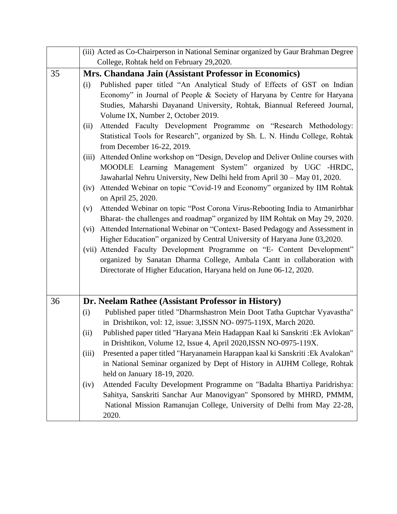|    | (iii) Acted as Co-Chairperson in National Seminar organized by Gaur Brahman Degree       |
|----|------------------------------------------------------------------------------------------|
|    | College, Rohtak held on February 29,2020.                                                |
| 35 | Mrs. Chandana Jain (Assistant Professor in Economics)                                    |
|    | Published paper titled "An Analytical Study of Effects of GST on Indian<br>(i)           |
|    | Economy" in Journal of People & Society of Haryana by Centre for Haryana                 |
|    | Studies, Maharshi Dayanand University, Rohtak, Biannual Refereed Journal,                |
|    | Volume IX, Number 2, October 2019.                                                       |
|    | Attended Faculty Development Programme on "Research Methodology:<br>(ii)                 |
|    | Statistical Tools for Research", organized by Sh. L. N. Hindu College, Rohtak            |
|    | from December 16-22, 2019.                                                               |
|    | Attended Online workshop on "Design, Develop and Deliver Online courses with<br>(iii)    |
|    | MOODLE Learning Management System" organized by UGC -HRDC,                               |
|    | Jawaharlal Nehru University, New Delhi held from April 30 - May 01, 2020.                |
|    | Attended Webinar on topic "Covid-19 and Economy" organized by IIM Rohtak<br>(iv)         |
|    | on April 25, 2020.                                                                       |
|    | Attended Webinar on topic "Post Corona Virus-Rebooting India to Atmanirbhar<br>(v)       |
|    | Bharat- the challenges and roadmap" organized by IIM Rohtak on May 29, 2020.             |
|    | Attended International Webinar on "Context- Based Pedagogy and Assessment in<br>(vi)     |
|    | Higher Education" organized by Central University of Haryana June 03,2020.               |
|    | (vii) Attended Faculty Development Programme on "E- Content Development"                 |
|    | organized by Sanatan Dharma College, Ambala Cantt in collaboration with                  |
|    | Directorate of Higher Education, Haryana held on June 06-12, 2020.                       |
|    |                                                                                          |
| 36 | Dr. Neelam Rathee (Assistant Professor in History)                                       |
|    | Published paper titled "Dharmshastron Mein Doot Tatha Guptchar Vyavastha"<br>(i)         |
|    | in Drishtikon, vol: 12, issue: 3, ISSN NO- 0975-119X, March 2020.                        |
|    | (ii)<br>Published paper titled "Haryana Mein Hadappan Kaal ki Sanskriti : Ek Avlokan"    |
|    | in Drishtikon, Volume 12, Issue 4, April 2020, ISSN NO-0975-119X.                        |
|    | Presented a paper titled "Haryanamein Harappan kaal ki Sanskriti : Ek Avalokan"<br>(iii) |
|    | in National Seminar organized by Dept of History in AIJHM College, Rohtak                |
|    | held on January 18-19, 2020.                                                             |
|    | Attended Faculty Development Programme on "Badalta Bhartiya Paridrishya:<br>(iv)         |
|    | Sahitya, Sanskriti Sanchar Aur Manovigyan" Sponsored by MHRD, PMMM,                      |
|    | National Mission Ramanujan College, University of Delhi from May 22-28,                  |
|    | 2020.                                                                                    |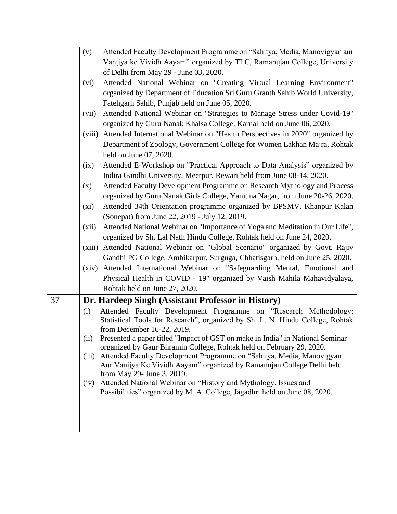|    | (v)     | Attended Faculty Development Programme on "Sahitya, Media, Manovigyan aur                                                                             |
|----|---------|-------------------------------------------------------------------------------------------------------------------------------------------------------|
|    |         | Vanijya ke Vividh Aayam" organized by TLC, Ramanujan College, University                                                                              |
|    |         | of Delhi from May 29 - June 03, 2020.                                                                                                                 |
|    | (vi)    | Attended National Webinar on "Creating Virtual Learning Environment"                                                                                  |
|    |         | organized by Department of Education Sri Guru Granth Sahib World University,                                                                          |
|    |         | Fatehgarh Sahib, Punjab held on June 05, 2020.                                                                                                        |
|    | (vii)   | Attended National Webinar on "Strategies to Manage Stress under Covid-19"                                                                             |
|    |         | organized by Guru Nanak Khalsa College, Karnal held on June 06, 2020.                                                                                 |
|    | (viii)  | Attended International Webinar on "Health Perspectives in 2020" organized by                                                                          |
|    |         | Department of Zoology, Government College for Women Lakhan Majra, Rohtak                                                                              |
|    |         | held on June 07, 2020.                                                                                                                                |
|    | (ix)    | Attended E-Workshop on "Practical Approach to Data Analysis" organized by                                                                             |
|    |         | Indira Gandhi University, Meerpur, Rewari held from June 08-14, 2020.                                                                                 |
|    | (x)     | Attended Faculty Development Programme on Research Mythology and Process                                                                              |
|    |         | organized by Guru Nanak Girls College, Yamuna Nagar, from June 20-26, 2020.                                                                           |
|    | $(x_i)$ | Attended 34th Orientation programme organized by BPSMV, Khanpur Kalan                                                                                 |
|    |         | (Sonepat) from June 22, 2019 - July 12, 2019.                                                                                                         |
|    | (xii)   | Attended National Webinar on "Importance of Yoga and Meditation in Our Life",                                                                         |
|    |         | organized by Sh. Lal Nath Hindu College, Rohtak held on June 24, 2020.                                                                                |
|    |         | (xiii) Attended National Webinar on "Global Scenario" organized by Govt. Rajiv                                                                        |
|    |         | Gandhi PG College, Ambikarpur, Surguga, Chhatisgarh, held on June 25, 2020.                                                                           |
|    | (xiv)   | Attended International Webinar on "Safeguarding Mental, Emotional and                                                                                 |
|    |         | Physical Health in COVID - 19" organized by Vaish Mahila Mahavidyalaya,                                                                               |
|    |         | Rohtak held on June 27, 2020.                                                                                                                         |
| 37 |         | Dr. Hardeep Singh (Assistant Professor in History)                                                                                                    |
|    | (i)     | Attended Faculty Development Programme on "Research Methodology:                                                                                      |
|    |         | Statistical Tools for Research", organized by Sh. L. N. Hindu College, Rohtak                                                                         |
|    |         | from December 16-22, 2019.                                                                                                                            |
|    | (ii)    | Presented a paper titled "Impact of GST on make in India" in National Seminar<br>organized by Gaur Bhramin College, Rohtak held on February 29, 2020. |
|    | (iii)   | Attended Faculty Development Programme on "Sahitya, Media, Manovigyan                                                                                 |
|    |         | Aur Vanijya Ke Vividh Aayam" organized by Ramanujan College Delhi held                                                                                |
|    |         | from May 29- June 3, 2019.                                                                                                                            |
|    | (iv)    | Attended National Webinar on "History and Mythology. Issues and                                                                                       |
|    |         | Possibilities" organized by M. A. College, Jagadhri held on June 08, 2020.                                                                            |
|    |         |                                                                                                                                                       |
|    |         |                                                                                                                                                       |
|    |         |                                                                                                                                                       |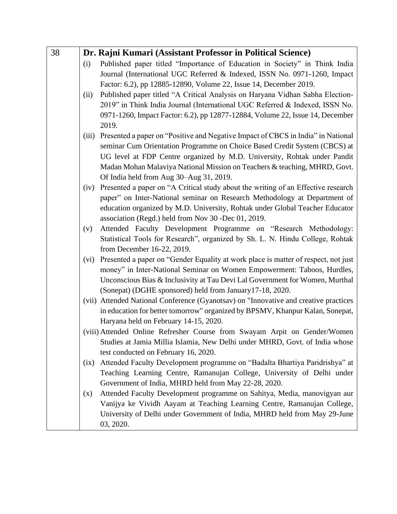| 38 |       | Dr. Rajni Kumari (Assistant Professor in Political Science)                                                 |
|----|-------|-------------------------------------------------------------------------------------------------------------|
|    | (i)   | Published paper titled "Importance of Education in Society" in Think India                                  |
|    |       | Journal (International UGC Referred & Indexed, ISSN No. 0971-1260, Impact                                   |
|    |       | Factor: 6.2), pp 12885-12890, Volume 22, Issue 14, December 2019.                                           |
|    | (ii)  | Published paper titled "A Critical Analysis on Haryana Vidhan Sabha Election-                               |
|    |       | 2019" in Think India Journal (International UGC Referred & Indexed, ISSN No.                                |
|    |       | 0971-1260, Impact Factor: 6.2), pp 12877-12884, Volume 22, Issue 14, December                               |
|    |       | 2019.                                                                                                       |
|    | (iii) | Presented a paper on "Positive and Negative Impact of CBCS in India" in National                            |
|    |       | seminar Cum Orientation Programme on Choice Based Credit System (CBCS) at                                   |
|    |       | UG level at FDP Centre organized by M.D. University, Rohtak under Pandit                                    |
|    |       | Madan Mohan Malaviya National Mission on Teachers & teaching, MHRD, Govt.                                   |
|    |       | Of India held from Aug 30–Aug 31, 2019.                                                                     |
|    |       | (iv) Presented a paper on "A Critical study about the writing of an Effective research                      |
|    |       | paper" on Inter-National seminar on Research Methodology at Department of                                   |
|    |       | education organized by M.D. University, Rohtak under Global Teacher Educator                                |
|    |       | association (Regd.) held from Nov 30 -Dec 01, 2019.                                                         |
|    | (v)   | Attended Faculty Development Programme on "Research Methodology:                                            |
|    |       | Statistical Tools for Research", organized by Sh. L. N. Hindu College, Rohtak<br>from December 16-22, 2019. |
|    | (vi)  | Presented a paper on "Gender Equality at work place is matter of respect, not just                          |
|    |       | money" in Inter-National Seminar on Women Empowerment: Taboos, Hurdles,                                     |
|    |       | Unconscious Bias & Inclusivity at Tau Devi Lal Government for Women, Murthal                                |
|    |       | (Sonepat) (DGHE sponsored) held from January 17-18, 2020.                                                   |
|    |       | (vii) Attended National Conference (Gyanotsav) on "Innovative and creative practices                        |
|    |       | in education for better tomorrow" organized by BPSMV, Khanpur Kalan, Sonepat,                               |
|    |       | Haryana held on February 14-15, 2020.                                                                       |
|    |       | (viii) Attended Online Refresher Course from Swayam Arpit on Gender/Women                                   |
|    |       | Studies at Jamia Millia Islamia, New Delhi under MHRD, Govt. of India whose                                 |
|    |       | test conducted on February 16, 2020.                                                                        |
|    | (ix)  | Attended Faculty Development programme on "Badalta Bhartiya Paridrishya" at                                 |
|    |       | Teaching Learning Centre, Ramanujan College, University of Delhi under                                      |
|    |       | Government of India, MHRD held from May 22-28, 2020.                                                        |
|    | (x)   | Attended Faculty Development programme on Sahitya, Media, manovigyan aur                                    |
|    |       | Vanijya ke Vividh Aayam at Teaching Learning Centre, Ramanujan College,                                     |
|    |       | University of Delhi under Government of India, MHRD held from May 29-June                                   |
|    |       | 03, 2020.                                                                                                   |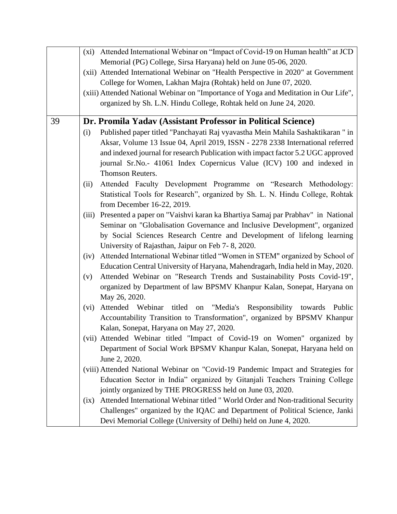|    | (xi) Attended International Webinar on "Impact of Covid-19 on Human health" at JCD       |
|----|------------------------------------------------------------------------------------------|
|    | Memorial (PG) College, Sirsa Haryana) held on June 05-06, 2020.                          |
|    | (xii) Attended International Webinar on "Health Perspective in 2020" at Government       |
|    | College for Women, Lakhan Majra (Rohtak) held on June 07, 2020.                          |
|    | (xiii) Attended National Webinar on "Importance of Yoga and Meditation in Our Life",     |
|    | organized by Sh. L.N. Hindu College, Rohtak held on June 24, 2020.                       |
|    |                                                                                          |
| 39 | Dr. Promila Yadav (Assistant Professor in Political Science)                             |
|    | Published paper titled "Panchayati Raj vyavastha Mein Mahila Sashaktikaran" in<br>(i)    |
|    | Aksar, Volume 13 Issue 04, April 2019, ISSN - 2278 2338 International referred           |
|    | and indexed journal for research Publication with impact factor 5.2 UGC approved         |
|    | journal Sr.No.- 41061 Index Copernicus Value (ICV) 100 and indexed in                    |
|    | Thomson Reuters.                                                                         |
|    | Attended Faculty Development Programme on "Research Methodology:<br>(ii)                 |
|    | Statistical Tools for Research", organized by Sh. L. N. Hindu College, Rohtak            |
|    | from December 16-22, 2019.                                                               |
|    | Presented a paper on "Vaishvi karan ka Bhartiya Samaj par Prabhav" in National<br>(iii)  |
|    | Seminar on "Globalisation Governance and Inclusive Development", organized               |
|    | by Social Sciences Research Centre and Development of lifelong learning                  |
|    | University of Rajasthan, Jaipur on Feb 7-8, 2020.                                        |
|    | Attended International Webinar titled "Women in STEM" organized by School of<br>(iv)     |
|    | Education Central University of Haryana, Mahendragarh, India held in May, 2020.          |
|    | Attended Webinar on "Research Trends and Sustainability Posts Covid-19",<br>(v)          |
|    | organized by Department of law BPSMV Khanpur Kalan, Sonepat, Haryana on                  |
|    | May 26, 2020.                                                                            |
|    | Attended Webinar titled on "Media's Responsibility towards Public<br>(vi)                |
|    | Accountability Transition to Transformation", organized by BPSMV Khanpur                 |
|    | Kalan, Sonepat, Haryana on May 27, 2020.                                                 |
|    | (vii) Attended Webinar titled "Impact of Covid-19 on Women" organized by                 |
|    | Department of Social Work BPSMV Khanpur Kalan, Sonepat, Haryana held on                  |
|    | June 2, 2020.                                                                            |
|    | (viii) Attended National Webinar on "Covid-19 Pandemic Impact and Strategies for         |
|    | Education Sector in India" organized by Gitanjali Teachers Training College              |
|    | jointly organized by THE PROGRESS held on June 03, 2020.                                 |
|    | Attended International Webinar titled " World Order and Non-traditional Security<br>(ix) |
|    | Challenges" organized by the IQAC and Department of Political Science, Janki             |
|    |                                                                                          |
|    | Devi Memorial College (University of Delhi) held on June 4, 2020.                        |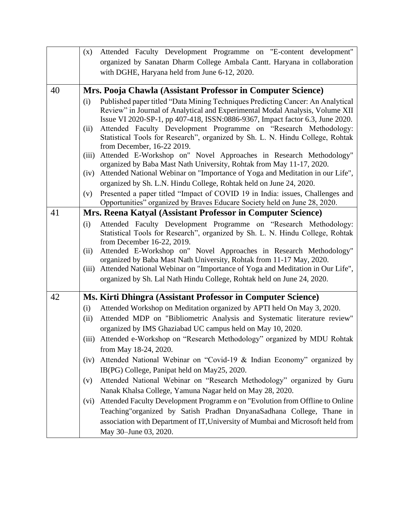|    | (x)   | Attended Faculty Development Programme on "E-content development"                                                                                             |
|----|-------|---------------------------------------------------------------------------------------------------------------------------------------------------------------|
|    |       | organized by Sanatan Dharm College Ambala Cantt. Haryana in collaboration                                                                                     |
|    |       | with DGHE, Haryana held from June 6-12, 2020.                                                                                                                 |
|    |       |                                                                                                                                                               |
| 40 |       | Mrs. Pooja Chawla (Assistant Professor in Computer Science)                                                                                                   |
|    | (i)   | Published paper titled "Data Mining Techniques Predicting Cancer: An Analytical                                                                               |
|    |       | Review" in Journal of Analytical and Experimental Modal Analysis, Volume XII<br>Issue VI 2020-SP-1, pp 407-418, ISSN:0886-9367, Impact factor 6.3, June 2020. |
|    | (ii)  | Attended Faculty Development Programme on "Research Methodology:                                                                                              |
|    |       | Statistical Tools for Research", organized by Sh. L. N. Hindu College, Rohtak                                                                                 |
|    |       | from December, 16-22 2019.                                                                                                                                    |
|    | (iii) | Attended E-Workshop on" Novel Approaches in Research Methodology"                                                                                             |
|    |       | organized by Baba Mast Nath University, Rohtak from May 11-17, 2020.                                                                                          |
|    | (iv)  | Attended National Webinar on "Importance of Yoga and Meditation in our Life",                                                                                 |
|    |       | organized by Sh. L.N. Hindu College, Rohtak held on June 24, 2020.                                                                                            |
|    | (v)   | Presented a paper titled "Impact of COVID 19 in India: issues, Challenges and<br>Opportunities" organized by Braves Educare Society held on June 28, 2020.    |
| 41 |       | Mrs. Reena Katyal (Assistant Professor in Computer Science)                                                                                                   |
|    | (i)   | Attended Faculty Development Programme on "Research Methodology:                                                                                              |
|    |       | Statistical Tools for Research", organized by Sh. L. N. Hindu College, Rohtak                                                                                 |
|    |       | from December 16-22, 2019.                                                                                                                                    |
|    | (ii)  | Attended E-Workshop on" Novel Approaches in Research Methodology"                                                                                             |
|    |       | organized by Baba Mast Nath University, Rohtak from 11-17 May, 2020.                                                                                          |
|    | (iii) | Attended National Webinar on "Importance of Yoga and Meditation in Our Life",                                                                                 |
|    |       | organized by Sh. Lal Nath Hindu College, Rohtak held on June 24, 2020.                                                                                        |
| 42 |       | Ms. Kirti Dhingra (Assistant Professor in Computer Science)                                                                                                   |
|    | (i)   | Attended Workshop on Meditation organized by APTI held On May 3, 2020.                                                                                        |
|    | (ii)  | Attended MDP on "Bibliometric Analysis and Systematic literature review"                                                                                      |
|    |       | organized by IMS Ghaziabad UC campus held on May 10, 2020.                                                                                                    |
|    | (111) | Attended e-Workshop on "Research Methodology" organized by MDU Rohtak                                                                                         |
|    |       | from May 18-24, 2020.                                                                                                                                         |
|    | (iv)  | Attended National Webinar on "Covid-19 & Indian Economy" organized by                                                                                         |
|    |       | IB(PG) College, Panipat held on May25, 2020.                                                                                                                  |
|    | (v)   | Attended National Webinar on "Research Methodology" organized by Guru                                                                                         |
|    |       | Nanak Khalsa College, Yamuna Nagar held on May 28, 2020.                                                                                                      |
|    |       |                                                                                                                                                               |
|    | (vi)  | Attended Faculty Development Programm e on "Evolution from Offline to Online                                                                                  |
|    |       | Teaching"organized by Satish Pradhan DnyanaSadhana College, Thane in                                                                                          |
|    |       | association with Department of IT, University of Mumbai and Microsoft held from<br>May 30–June 03, 2020.                                                      |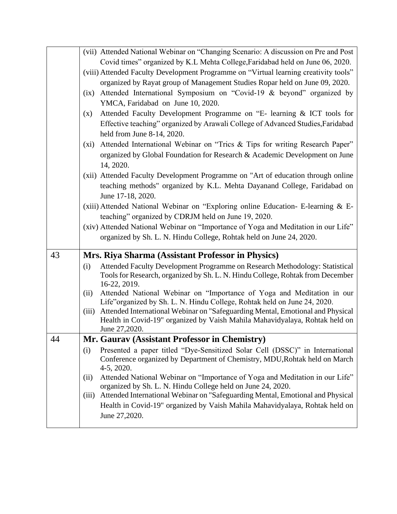|    | (vii) Attended National Webinar on "Changing Scenario: A discussion on Pre and Post                                                                       |
|----|-----------------------------------------------------------------------------------------------------------------------------------------------------------|
|    | Covid times" organized by K.L Mehta College, Faridabad held on June 06, 2020.                                                                             |
|    | (viii) Attended Faculty Development Programme on "Virtual learning creativity tools"                                                                      |
|    | organized by Rayat group of Management Studies Ropar held on June 09, 2020.                                                                               |
|    | Attended International Symposium on "Covid-19 & beyond" organized by<br>(ix)                                                                              |
|    | YMCA, Faridabad on June 10, 2020.                                                                                                                         |
|    | Attended Faculty Development Programme on "E- learning & ICT tools for<br>(x)                                                                             |
|    | Effective teaching" organized by Arawali College of Advanced Studies, Faridabad                                                                           |
|    | held from June 8-14, 2020.                                                                                                                                |
|    | Attended International Webinar on "Trics & Tips for writing Research Paper"<br>$(x_i)$                                                                    |
|    | organized by Global Foundation for Research & Academic Development on June                                                                                |
|    | 14, 2020.                                                                                                                                                 |
|    | (xii) Attended Faculty Development Programme on "Art of education through online                                                                          |
|    | teaching methods" organized by K.L. Mehta Dayanand College, Faridabad on                                                                                  |
|    | June 17-18, 2020.                                                                                                                                         |
|    | (xiii) Attended National Webinar on "Exploring online Education- E-learning & E-                                                                          |
|    | teaching" organized by CDRJM held on June 19, 2020.                                                                                                       |
|    | (xiv) Attended National Webinar on "Importance of Yoga and Meditation in our Life"<br>organized by Sh. L. N. Hindu College, Rohtak held on June 24, 2020. |
|    |                                                                                                                                                           |
| 43 | Mrs. Riya Sharma (Assistant Professor in Physics)                                                                                                         |
|    | Attended Faculty Development Programme on Research Methodology: Statistical<br>(i)                                                                        |
|    | Tools for Research, organized by Sh. L. N. Hindu College, Rohtak from December                                                                            |
|    | 16-22, 2019.<br>Attended National Webinar on "Importance of Yoga and Meditation in our<br>(ii)                                                            |
|    | Life"organized by Sh. L. N. Hindu College, Rohtak held on June 24, 2020.                                                                                  |
|    | Attended International Webinar on "Safeguarding Mental, Emotional and Physical<br>(iii)                                                                   |
|    | Health in Covid-19" organized by Vaish Mahila Mahavidyalaya, Rohtak held on                                                                               |
|    | June 27,2020.                                                                                                                                             |
| 44 | Mr. Gaurav (Assistant Professor in Chemistry)                                                                                                             |
|    | Presented a paper titled "Dye-Sensitized Solar Cell (DSSC)" in International<br>(i)                                                                       |
|    | Conference organized by Department of Chemistry, MDU, Rohtak held on March<br>$4-5, 2020.$                                                                |
|    | Attended National Webinar on "Importance of Yoga and Meditation in our Life"<br>(ii)                                                                      |
|    | organized by Sh. L. N. Hindu College held on June 24, 2020.                                                                                               |
|    | Attended International Webinar on "Safeguarding Mental, Emotional and Physical<br>(iii)                                                                   |
|    | Health in Covid-19" organized by Vaish Mahila Mahavidyalaya, Rohtak held on                                                                               |
|    |                                                                                                                                                           |
|    | June 27,2020.                                                                                                                                             |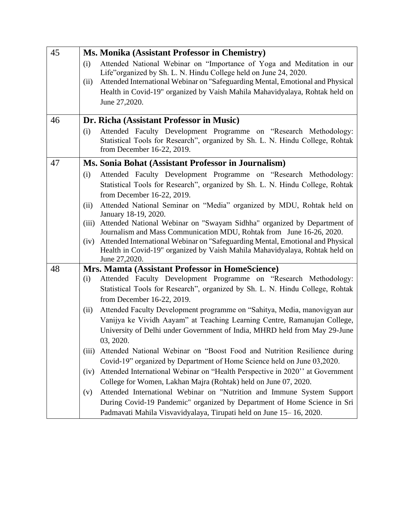| 45 | Ms. Monika (Assistant Professor in Chemistry)                                                                                                                                                                                                           |
|----|---------------------------------------------------------------------------------------------------------------------------------------------------------------------------------------------------------------------------------------------------------|
|    | Attended National Webinar on "Importance of Yoga and Meditation in our<br>(i)<br>Life" organized by Sh. L. N. Hindu College held on June 24, 2020.<br>Attended International Webinar on "Safeguarding Mental, Emotional and Physical<br>(ii)            |
|    | Health in Covid-19" organized by Vaish Mahila Mahavidyalaya, Rohtak held on<br>June 27,2020.                                                                                                                                                            |
| 46 | Dr. Richa (Assistant Professor in Music)                                                                                                                                                                                                                |
|    | Attended Faculty Development Programme on "Research Methodology:<br>(i)<br>Statistical Tools for Research", organized by Sh. L. N. Hindu College, Rohtak<br>from December 16-22, 2019.                                                                  |
| 47 | Ms. Sonia Bohat (Assistant Professor in Journalism)                                                                                                                                                                                                     |
|    | Attended Faculty Development Programme on "Research Methodology:<br>(i)<br>Statistical Tools for Research", organized by Sh. L. N. Hindu College, Rohtak<br>from December 16-22, 2019.                                                                  |
|    | Attended National Seminar on "Media" organized by MDU, Rohtak held on<br>(ii)<br>January 18-19, 2020.                                                                                                                                                   |
|    | Attended National Webinar on "Swayam Sidhha" organized by Department of<br>(iii)<br>Journalism and Mass Communication MDU, Rohtak from June 16-26, 2020.                                                                                                |
|    | Attended International Webinar on "Safeguarding Mental, Emotional and Physical<br>(iv)<br>Health in Covid-19" organized by Vaish Mahila Mahavidyalaya, Rohtak held on<br>June 27,2020.                                                                  |
| 48 | Mrs. Mamta (Assistant Professor in HomeScience)                                                                                                                                                                                                         |
|    | Attended Faculty Development Programme on "Research Methodology:<br>(i)<br>Statistical Tools for Research", organized by Sh. L. N. Hindu College, Rohtak<br>from December 16-22, 2019.                                                                  |
|    | Attended Faculty Development programme on "Sahitya, Media, manovigyan aur<br>(ii)<br>Vanijya ke Vividh Aayam" at Teaching Learning Centre, Ramanujan College,<br>University of Delhi under Government of India, MHRD held from May 29-June<br>03, 2020. |
|    | Attended National Webinar on "Boost Food and Nutrition Resilience during<br>(iii)<br>Covid-19" organized by Department of Home Science held on June 03,2020.                                                                                            |
|    | Attended International Webinar on "Health Perspective in 2020" at Government<br>(iv)<br>College for Women, Lakhan Majra (Rohtak) held on June 07, 2020.                                                                                                 |
|    | Attended International Webinar on "Nutrition and Immune System Support<br>(v)                                                                                                                                                                           |
|    | During Covid-19 Pandemic" organized by Department of Home Science in Sri<br>Padmavati Mahila Visvavidyalaya, Tirupati held on June 15-16, 2020.                                                                                                         |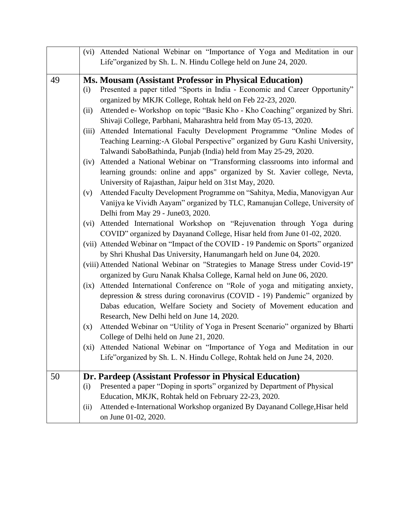|    |       | (vi) Attended National Webinar on "Importance of Yoga and Meditation in our       |
|----|-------|-----------------------------------------------------------------------------------|
|    |       | Life" organized by Sh. L. N. Hindu College held on June 24, 2020.                 |
| 49 |       | Ms. Mousam (Assistant Professor in Physical Education)                            |
|    | (i)   | Presented a paper titled "Sports in India - Economic and Career Opportunity"      |
|    |       | organized by MKJK College, Rohtak held on Feb 22-23, 2020.                        |
|    | (ii)  | Attended e- Workshop on topic "Basic Kho - Kho Coaching" organized by Shri.       |
|    |       | Shivaji College, Parbhani, Maharashtra held from May 05-13, 2020.                 |
|    | (iii) | Attended International Faculty Development Programme "Online Modes of             |
|    |       | Teaching Learning: - A Global Perspective" organized by Guru Kashi University,    |
|    |       | Talwandi SaboBathinda, Punjab (India) held from May 25-29, 2020.                  |
|    | (iv)  | Attended a National Webinar on "Transforming classrooms into informal and         |
|    |       | learning grounds: online and apps" organized by St. Xavier college, Nevta,        |
|    |       | University of Rajasthan, Jaipur held on 31st May, 2020.                           |
|    | (v)   | Attended Faculty Development Programme on "Sahitya, Media, Manovigyan Aur         |
|    |       | Vanijya ke Vividh Aayam" organized by TLC, Ramanujan College, University of       |
|    |       | Delhi from May 29 - June03, 2020.                                                 |
|    | (vi)  | Attended International Workshop on "Rejuvenation through Yoga during              |
|    |       | COVID" organized by Dayanand College, Hisar held from June 01-02, 2020.           |
|    |       | (vii) Attended Webinar on "Impact of the COVID - 19 Pandemic on Sports" organized |
|    |       | by Shri Khushal Das University, Hanumangarh held on June 04, 2020.                |
|    |       | (viii) Attended National Webinar on "Strategies to Manage Stress under Covid-19"  |
|    |       | organized by Guru Nanak Khalsa College, Karnal held on June 06, 2020.             |
|    | (ix)  | Attended International Conference on "Role of yoga and mitigating anxiety,        |
|    |       | depression & stress during coronavirus (COVID - 19) Pandemic" organized by        |
|    |       | Dabas education, Welfare Society and Society of Movement education and            |
|    |       | Research, New Delhi held on June 14, 2020.                                        |
|    | (x)   | Attended Webinar on "Utility of Yoga in Present Scenario" organized by Bharti     |
|    |       | College of Delhi held on June 21, 2020.                                           |
|    | (xi)  | Attended National Webinar on "Importance of Yoga and Meditation in our            |
|    |       | Life"organized by Sh. L. N. Hindu College, Rohtak held on June 24, 2020.          |
| 50 |       | Dr. Pardeep (Assistant Professor in Physical Education)                           |
|    | (i)   | Presented a paper "Doping in sports" organized by Department of Physical          |
|    |       | Education, MKJK, Rohtak held on February 22-23, 2020.                             |
|    | (ii)  | Attended e-International Workshop organized By Dayanand College, Hisar held       |
|    |       | on June 01-02, 2020.                                                              |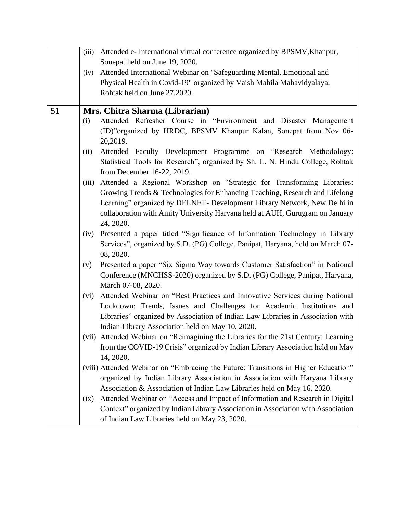|    | (iii) | Attended e- International virtual conference organized by BPSMV, Khanpur,           |
|----|-------|-------------------------------------------------------------------------------------|
|    |       | Sonepat held on June 19, 2020.                                                      |
|    | (iv)  | Attended International Webinar on "Safeguarding Mental, Emotional and               |
|    |       | Physical Health in Covid-19" organized by Vaish Mahila Mahavidyalaya,               |
|    |       | Rohtak held on June 27,2020.                                                        |
|    |       |                                                                                     |
| 51 |       | Mrs. Chitra Sharma (Librarian)                                                      |
|    | (i)   | Attended Refresher Course in "Environment and Disaster Management                   |
|    |       | (ID)"organized by HRDC, BPSMV Khanpur Kalan, Sonepat from Nov 06-                   |
|    |       | 20,2019.                                                                            |
|    | (ii)  | Attended Faculty Development Programme on "Research Methodology:                    |
|    |       | Statistical Tools for Research", organized by Sh. L. N. Hindu College, Rohtak       |
|    |       | from December 16-22, 2019.                                                          |
|    | (iii) | Attended a Regional Workshop on "Strategic for Transforming Libraries:              |
|    |       | Growing Trends & Technologies for Enhancing Teaching, Research and Lifelong         |
|    |       | Learning" organized by DELNET- Development Library Network, New Delhi in            |
|    |       | collaboration with Amity University Haryana held at AUH, Gurugram on January        |
|    |       | 24, 2020.                                                                           |
|    | (iv)  | Presented a paper titled "Significance of Information Technology in Library         |
|    |       | Services", organized by S.D. (PG) College, Panipat, Haryana, held on March 07-      |
|    |       | 08, 2020.                                                                           |
|    | (v)   | Presented a paper "Six Sigma Way towards Customer Satisfaction" in National         |
|    |       | Conference (MNCHSS-2020) organized by S.D. (PG) College, Panipat, Haryana,          |
|    |       | March 07-08, 2020.                                                                  |
|    | (vi)  | Attended Webinar on "Best Practices and Innovative Services during National         |
|    |       | Lockdown: Trends, Issues and Challenges for Academic Institutions and               |
|    |       | Libraries" organized by Association of Indian Law Libraries in Association with     |
|    |       | Indian Library Association held on May 10, 2020.                                    |
|    |       | (vii) Attended Webinar on "Reimagining the Libraries for the 21st Century: Learning |
|    |       | from the COVID-19 Crisis" organized by Indian Library Association held on May       |
|    |       | 14, 2020.                                                                           |
|    |       | (viii) Attended Webinar on "Embracing the Future: Transitions in Higher Education"  |
|    |       | organized by Indian Library Association in Association with Haryana Library         |
|    |       | Association & Association of Indian Law Libraries held on May 16, 2020.             |
|    | (ix)  | Attended Webinar on "Access and Impact of Information and Research in Digital       |
|    |       | Context" organized by Indian Library Association in Association with Association    |
|    |       | of Indian Law Libraries held on May 23, 2020.                                       |
|    |       |                                                                                     |